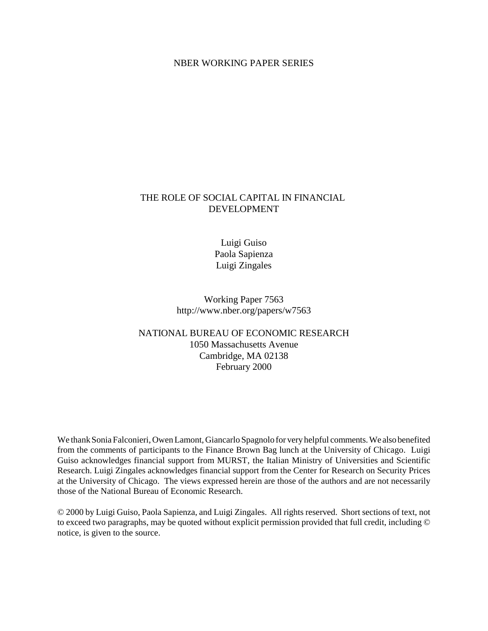### NBER WORKING PAPER SERIES

## THE ROLE OF SOCIAL CAPITAL IN FINANCIAL DEVELOPMENT

Luigi Guiso Paola Sapienza Luigi Zingales

Working Paper 7563 http://www.nber.org/papers/w7563

## NATIONAL BUREAU OF ECONOMIC RESEARCH 1050 Massachusetts Avenue Cambridge, MA 02138 February 2000

We thank Sonia Falconieri, Owen Lamont, Giancarlo Spagnolo for very helpful comments. We also benefited from the comments of participants to the Finance Brown Bag lunch at the University of Chicago. Luigi Guiso acknowledges financial support from MURST, the Italian Ministry of Universities and Scientific Research. Luigi Zingales acknowledges financial support from the Center for Research on Security Prices at the University of Chicago. The views expressed herein are those of the authors and are not necessarily those of the National Bureau of Economic Research.

© 2000 by Luigi Guiso, Paola Sapienza, and Luigi Zingales. All rights reserved. Short sections of text, not to exceed two paragraphs, may be quoted without explicit permission provided that full credit, including © notice, is given to the source.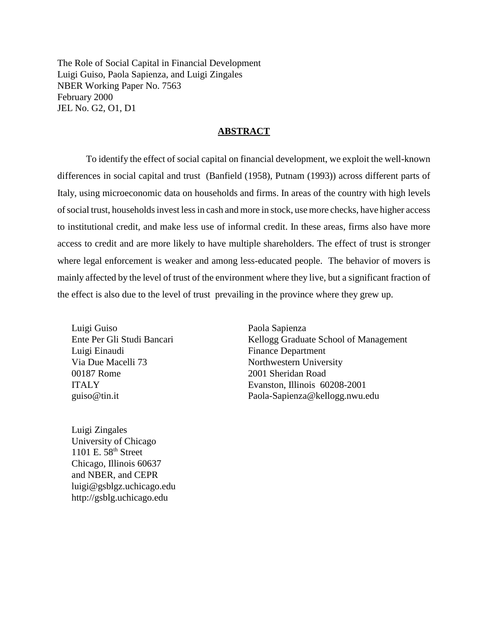The Role of Social Capital in Financial Development Luigi Guiso, Paola Sapienza, and Luigi Zingales NBER Working Paper No. 7563 February 2000 JEL No. G2, O1, D1

## **ABSTRACT**

To identify the effect of social capital on financial development, we exploit the well-known differences in social capital and trust (Banfield (1958), Putnam (1993)) across different parts of Italy, using microeconomic data on households and firms. In areas of the country with high levels of social trust, households invest less in cash and more in stock, use more checks, have higher access to institutional credit, and make less use of informal credit. In these areas, firms also have more access to credit and are more likely to have multiple shareholders. The effect of trust is stronger where legal enforcement is weaker and among less-educated people. The behavior of movers is mainly affected by the level of trust of the environment where they live, but a significant fraction of the effect is also due to the level of trust prevailing in the province where they grew up.

Luigi Guiso Ente Per Gli Studi Bancari Luigi Einaudi Via Due Macelli 73 00187 Rome **ITALY** guiso@tin.it

Luigi Zingales University of Chicago 1101 E.  $58<sup>th</sup>$  Street Chicago, Illinois 60637 and NBER, and CEPR luigi@gsblgz.uchicago.edu http://gsblg.uchicago.edu

Paola Sapienza Kellogg Graduate School of Management Finance Department Northwestern University 2001 Sheridan Road Evanston, Illinois 60208-2001 Paola-Sapienza@kellogg.nwu.edu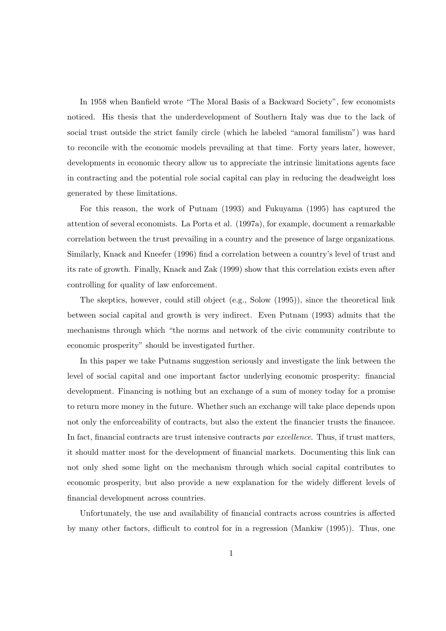In 1958 when Banfield wrote "The Moral Basis of a Backward Society", few economists noticed. His thesis that the underdevelopment of Southern Italy was due to the lack of social trust outside the strict family circle (which he labeled "amoral familism") was hard to reconcile with the economic models prevailing at that time. Forty years later, however, developments in economic theory allow us to appreciate the intrinsic limitations agents face in contracting and the potential role social capital can play in reducing the deadweight loss generated by these limitations.

For this reason, the work of Putnam (1993) and Fukuyama (1995) has captured the attention of several economists. La Porta et al. (1997a), for example, document a remarkable correlation between the trust prevailing in a country and the presence of large organizations. Similarly, Knack and Kneefer (1996) find a correlation between a country's level of trust and its rate of growth. Finally, Knack and Zak (1999) show that this correlation exists even after controlling for quality of law enforcement.

The skeptics, however, could still object (e.g., Solow (1995)), since the theoretical link between social capital and growth is very indirect. Even Putnam (1993) admits that the mechanisms through which "the norms and network of the civic community contribute to economic prosperity" should be investigated further.

In this paper we take Putnams suggestion seriously and investigate the link between the level of social capital and one important factor underlying economic prosperity: financial development. Financing is nothing but an exchange of a sum of money today for a promise to return more money in the future. Whether such an exchange will take place depends upon not only the enforceability of contracts, but also the extent the financier trusts the financee. In fact, financial contracts are trust intensive contracts par excellence. Thus, if trust matters, it should matter most for the development of financial markets. Documenting this link can not only shed some light on the mechanism through which social capital contributes to economic prosperity, but also provide a new explanation for the widely different levels of financial development across countries.

Unfortunately, the use and availability of financial contracts across countries is affected by many other factors, difficult to control for in a regression (Mankiw (1995)). Thus, one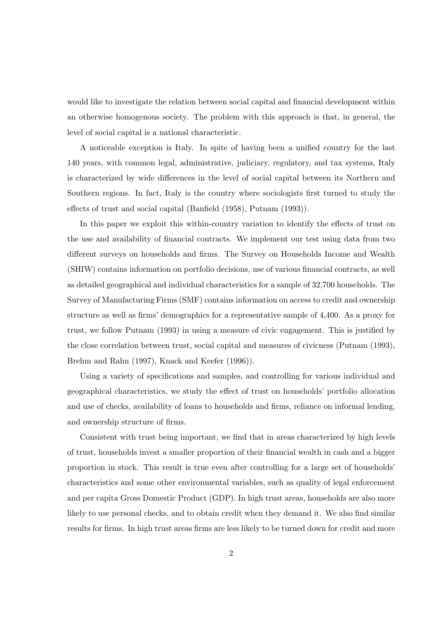would like to investigate the relation between social capital and financial development within an otherwise homogenous society. The problem with this approach is that, in general, the level of social capital is a national characteristic.

A noticeable exception is Italy. In spite of having been a unified country for the last 140 years, with common legal, administrative, judiciary, regulatory, and tax systems, Italy is characterized by wide differences in the level of social capital between its Northern and Southern regions. In fact, Italy is the country where sociologists first turned to study the effects of trust and social capital (Banfield (1958), Putnam (1993)).

In this paper we exploit this within-country variation to identify the effects of trust on the use and availability of financial contracts. We implement our test using data from two different surveys on households and firms. The Survey on Households Income and Wealth (SHIW) contains information on portfolio decisions, use of various financial contracts, as well as detailed geographical and individual characteristics for a sample of 32,700 households. The Survey of Manufacturing Firms (SMF) contains information on access to credit and ownership structure as well as firms' demographics for a representative sample of 4,400. As a proxy for trust, we follow Putnam (1993) in using a measure of civic engagement. This is justified by the close correlation between trust, social capital and measures of civicness (Putnam (1993), Brehm and Rahn (1997), Knack and Keefer (1996)).

Using a variety of specifications and samples, and controlling for various individual and geographical characteristics, we study the effect of trust on households' portfolio allocation and use of checks, availability of loans to households and firms, reliance on informal lending, and ownership structure of firms.

Consistent with trust being important, we find that in areas characterized by high levels of trust, households invest a smaller proportion of their financial wealth in cash and a bigger proportion in stock. This result is true even after controlling for a large set of households' characteristics and some other environmental variables, such as quality of legal enforcement and per capita Gross Domestic Product (GDP). In high trust areas, households are also more likely to use personal checks, and to obtain credit when they demand it. We also find similar results for firms. In high trust areas firms are less likely to be turned down for credit and more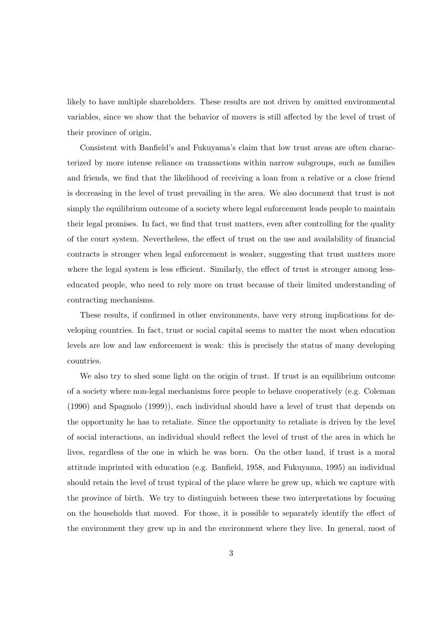likely to have multiple shareholders. These results are not driven by omitted environmental variables, since we show that the behavior of movers is still affected by the level of trust of their province of origin.

Consistent with Banfield's and Fukuyama's claim that low trust areas are often characterized by more intense reliance on transactions within narrow subgroups, such as families and friends, we find that the likelihood of receiving a loan from a relative or a close friend is decreasing in the level of trust prevailing in the area. We also document that trust is not simply the equilibrium outcome of a society where legal enforcement leads people to maintain their legal promises. In fact, we find that trust matters, even after controlling for the quality of the court system. Nevertheless, the effect of trust on the use and availability of financial contracts is stronger when legal enforcement is weaker, suggesting that trust matters more where the legal system is less efficient. Similarly, the effect of trust is stronger among lesseducated people, who need to rely more on trust because of their limited understanding of contracting mechanisms.

These results, if confirmed in other environments, have very strong implications for developing countries. In fact, trust or social capital seems to matter the most when education levels are low and law enforcement is weak: this is precisely the status of many developing countries.

We also try to shed some light on the origin of trust. If trust is an equilibrium outcome of a society where non-legal mechanisms force people to behave cooperatively (e.g. Coleman (1990) and Spagnolo (1999)), each individual should have a level of trust that depends on the opportunity he has to retaliate. Since the opportunity to retaliate is driven by the level of social interactions, an individual should reflect the level of trust of the area in which he lives, regardless of the one in which he was born. On the other hand, if trust is a moral attitude imprinted with education (e.g. Banfield, 1958, and Fukuyama, 1995) an individual should retain the level of trust typical of the place where he grew up, which we capture with the province of birth. We try to distinguish between these two interpretations by focusing on the households that moved. For those, it is possible to separately identify the effect of the environment they grew up in and the environment where they live. In general, most of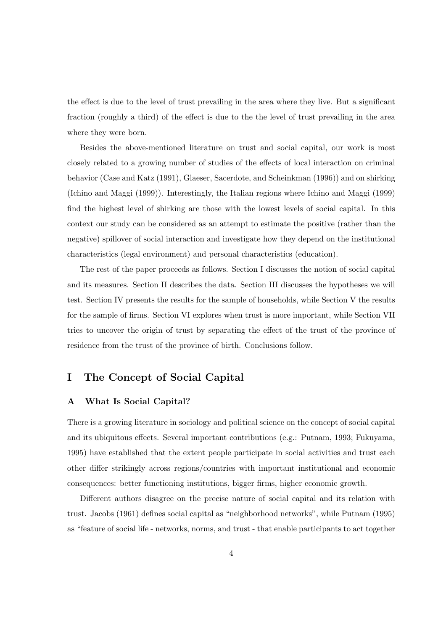the effect is due to the level of trust prevailing in the area where they live. But a significant fraction (roughly a third) of the effect is due to the the level of trust prevailing in the area where they were born.

Besides the above-mentioned literature on trust and social capital, our work is most closely related to a growing number of studies of the effects of local interaction on criminal behavior (Case and Katz (1991), Glaeser, Sacerdote, and Scheinkman (1996)) and on shirking (Ichino and Maggi (1999)). Interestingly, the Italian regions where Ichino and Maggi (1999) find the highest level of shirking are those with the lowest levels of social capital. In this context our study can be considered as an attempt to estimate the positive (rather than the negative) spillover of social interaction and investigate how they depend on the institutional characteristics (legal environment) and personal characteristics (education).

The rest of the paper proceeds as follows. Section I discusses the notion of social capital and its measures. Section II describes the data. Section III discusses the hypotheses we will test. Section IV presents the results for the sample of households, while Section V the results for the sample of firms. Section VI explores when trust is more important, while Section VII tries to uncover the origin of trust by separating the effect of the trust of the province of residence from the trust of the province of birth. Conclusions follow.

## I The Concept of Social Capital

### A What Is Social Capital?

There is a growing literature in sociology and political science on the concept of social capital and its ubiquitous effects. Several important contributions (e.g.: Putnam, 1993; Fukuyama, 1995) have established that the extent people participate in social activities and trust each other differ strikingly across regions/countries with important institutional and economic consequences: better functioning institutions, bigger firms, higher economic growth.

Different authors disagree on the precise nature of social capital and its relation with trust. Jacobs (1961) defines social capital as "neighborhood networks", while Putnam (1995) as "feature of social life - networks, norms, and trust - that enable participants to act together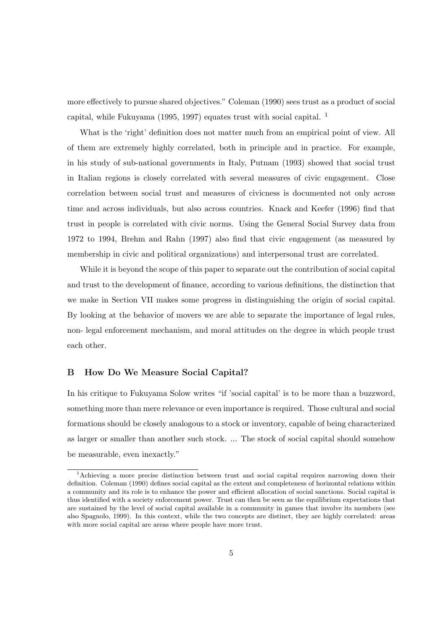more effectively to pursue shared objectives." Coleman (1990) sees trust as a product of social capital, while Fukuyama (1995, 1997) equates trust with social capital. <sup>1</sup>

What is the 'right' definition does not matter much from an empirical point of view. All of them are extremely highly correlated, both in principle and in practice. For example, in his study of sub-national governments in Italy, Putnam (1993) showed that social trust in Italian regions is closely correlated with several measures of civic engagement. Close correlation between social trust and measures of civicness is documented not only across time and across individuals, but also across countries. Knack and Keefer (1996) find that trust in people is correlated with civic norms. Using the General Social Survey data from 1972 to 1994, Brehm and Rahn (1997) also find that civic engagement (as measured by membership in civic and political organizations) and interpersonal trust are correlated.

While it is beyond the scope of this paper to separate out the contribution of social capital and trust to the development of finance, according to various definitions, the distinction that we make in Section VII makes some progress in distinguishing the origin of social capital. By looking at the behavior of movers we are able to separate the importance of legal rules, non- legal enforcement mechanism, and moral attitudes on the degree in which people trust each other.

### B How Do We Measure Social Capital?

In his critique to Fukuyama Solow writes "if 'social capital' is to be more than a buzzword, something more than mere relevance or even importance is required. Those cultural and social formations should be closely analogous to a stock or inventory, capable of being characterized as larger or smaller than another such stock. ... The stock of social capital should somehow be measurable, even inexactly."

<sup>1</sup>Achieving a more precise distinction between trust and social capital requires narrowing down their definition. Coleman (1990) defines social capital as the extent and completeness of horizontal relations within a community and its role is to enhance the power and efficient allocation of social sanctions. Social capital is thus identified with a society enforcement power. Trust can then be seen as the equilibrium expectations that are sustained by the level of social capital available in a community in games that involve its members (see also Spagnolo, 1999). In this context, while the two concepts are distinct, they are highly correlated: areas with more social capital are areas where people have more trust.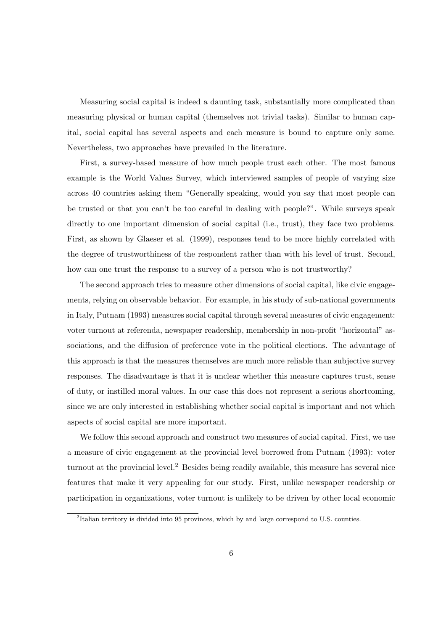Measuring social capital is indeed a daunting task, substantially more complicated than measuring physical or human capital (themselves not trivial tasks). Similar to human capital, social capital has several aspects and each measure is bound to capture only some. Nevertheless, two approaches have prevailed in the literature.

First, a survey-based measure of how much people trust each other. The most famous example is the World Values Survey, which interviewed samples of people of varying size across 40 countries asking them "Generally speaking, would you say that most people can be trusted or that you can't be too careful in dealing with people?". While surveys speak directly to one important dimension of social capital (i.e., trust), they face two problems. First, as shown by Glaeser et al. (1999), responses tend to be more highly correlated with the degree of trustworthiness of the respondent rather than with his level of trust. Second, how can one trust the response to a survey of a person who is not trustworthy?

The second approach tries to measure other dimensions of social capital, like civic engagements, relying on observable behavior. For example, in his study of sub-national governments in Italy, Putnam (1993) measures social capital through several measures of civic engagement: voter turnout at referenda, newspaper readership, membership in non-profit "horizontal" associations, and the diffusion of preference vote in the political elections. The advantage of this approach is that the measures themselves are much more reliable than subjective survey responses. The disadvantage is that it is unclear whether this measure captures trust, sense of duty, or instilled moral values. In our case this does not represent a serious shortcoming, since we are only interested in establishing whether social capital is important and not which aspects of social capital are more important.

We follow this second approach and construct two measures of social capital. First, we use a measure of civic engagement at the provincial level borrowed from Putnam (1993): voter turnout at the provincial level.<sup>2</sup> Besides being readily available, this measure has several nice features that make it very appealing for our study. First, unlike newspaper readership or participation in organizations, voter turnout is unlikely to be driven by other local economic

<sup>&</sup>lt;sup>2</sup>Italian territory is divided into 95 provinces, which by and large correspond to U.S. counties.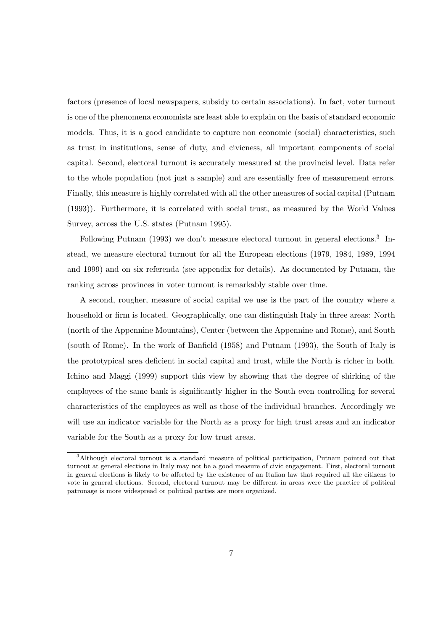factors (presence of local newspapers, subsidy to certain associations). In fact, voter turnout is one of the phenomena economists are least able to explain on the basis of standard economic models. Thus, it is a good candidate to capture non economic (social) characteristics, such as trust in institutions, sense of duty, and civicness, all important components of social capital. Second, electoral turnout is accurately measured at the provincial level. Data refer to the whole population (not just a sample) and are essentially free of measurement errors. Finally, this measure is highly correlated with all the other measures of social capital (Putnam (1993)). Furthermore, it is correlated with social trust, as measured by the World Values Survey, across the U.S. states (Putnam 1995).

Following Putnam (1993) we don't measure electoral turnout in general elections.<sup>3</sup> Instead, we measure electoral turnout for all the European elections (1979, 1984, 1989, 1994 and 1999) and on six referenda (see appendix for details). As documented by Putnam, the ranking across provinces in voter turnout is remarkably stable over time.

A second, rougher, measure of social capital we use is the part of the country where a household or firm is located. Geographically, one can distinguish Italy in three areas: North (north of the Appennine Mountains), Center (between the Appennine and Rome), and South (south of Rome). In the work of Banfield (1958) and Putnam (1993), the South of Italy is the prototypical area deficient in social capital and trust, while the North is richer in both. Ichino and Maggi (1999) support this view by showing that the degree of shirking of the employees of the same bank is significantly higher in the South even controlling for several characteristics of the employees as well as those of the individual branches. Accordingly we will use an indicator variable for the North as a proxy for high trust areas and an indicator variable for the South as a proxy for low trust areas.

<sup>3</sup>Although electoral turnout is a standard measure of political participation, Putnam pointed out that turnout at general elections in Italy may not be a good measure of civic engagement. First, electoral turnout in general elections is likely to be affected by the existence of an Italian law that required all the citizens to vote in general elections. Second, electoral turnout may be different in areas were the practice of political patronage is more widespread or political parties are more organized.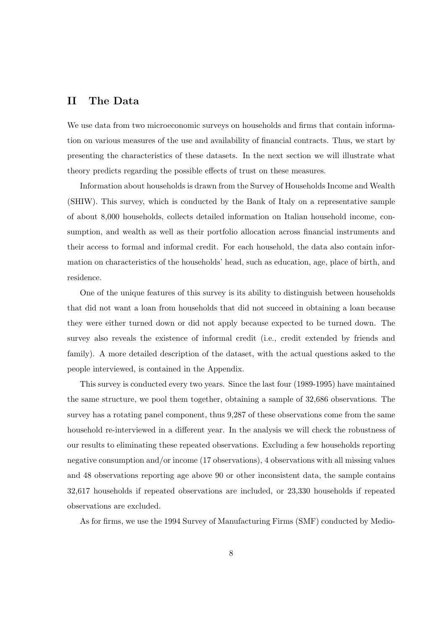## II The Data

We use data from two microeconomic surveys on households and firms that contain information on various measures of the use and availability of financial contracts. Thus, we start by presenting the characteristics of these datasets. In the next section we will illustrate what theory predicts regarding the possible effects of trust on these measures.

Information about households is drawn from the Survey of Households Income and Wealth (SHIW). This survey, which is conducted by the Bank of Italy on a representative sample of about 8,000 households, collects detailed information on Italian household income, consumption, and wealth as well as their portfolio allocation across financial instruments and their access to formal and informal credit. For each household, the data also contain information on characteristics of the households' head, such as education, age, place of birth, and residence.

One of the unique features of this survey is its ability to distinguish between households that did not want a loan from households that did not succeed in obtaining a loan because they were either turned down or did not apply because expected to be turned down. The survey also reveals the existence of informal credit (i.e., credit extended by friends and family). A more detailed description of the dataset, with the actual questions asked to the people interviewed, is contained in the Appendix.

This survey is conducted every two years. Since the last four (1989-1995) have maintained the same structure, we pool them together, obtaining a sample of 32,686 observations. The survey has a rotating panel component, thus 9,287 of these observations come from the same household re-interviewed in a different year. In the analysis we will check the robustness of our results to eliminating these repeated observations. Excluding a few households reporting negative consumption and/or income (17 observations), 4 observations with all missing values and 48 observations reporting age above 90 or other inconsistent data, the sample contains 32,617 households if repeated observations are included, or 23,330 households if repeated observations are excluded.

As for firms, we use the 1994 Survey of Manufacturing Firms (SMF) conducted by Medio-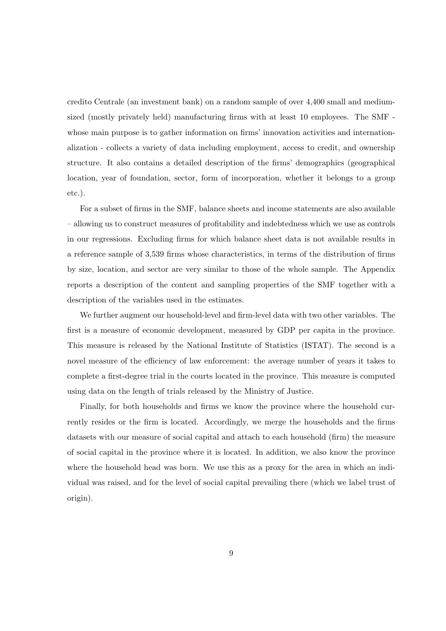credito Centrale (an investment bank) on a random sample of over 4,400 small and mediumsized (mostly privately held) manufacturing firms with at least 10 employees. The SMF whose main purpose is to gather information on firms' innovation activities and internationalization - collects a variety of data including employment, access to credit, and ownership structure. It also contains a detailed description of the firms' demographics (geographical location, year of foundation, sector, form of incorporation, whether it belongs to a group etc.).

For a subset of firms in the SMF, balance sheets and income statements are also available – allowing us to construct measures of profitability and indebtedness which we use as controls in our regressions. Excluding firms for which balance sheet data is not available results in a reference sample of 3,539 firms whose characteristics, in terms of the distribution of firms by size, location, and sector are very similar to those of the whole sample. The Appendix reports a description of the content and sampling properties of the SMF together with a description of the variables used in the estimates.

We further augment our household-level and firm-level data with two other variables. The first is a measure of economic development, measured by GDP per capita in the province. This measure is released by the National Institute of Statistics (ISTAT). The second is a novel measure of the efficiency of law enforcement: the average number of years it takes to complete a first-degree trial in the courts located in the province. This measure is computed using data on the length of trials released by the Ministry of Justice.

Finally, for both households and firms we know the province where the household currently resides or the firm is located. Accordingly, we merge the households and the firms datasets with our measure of social capital and attach to each household (firm) the measure of social capital in the province where it is located. In addition, we also know the province where the household head was born. We use this as a proxy for the area in which an individual was raised, and for the level of social capital prevailing there (which we label trust of origin).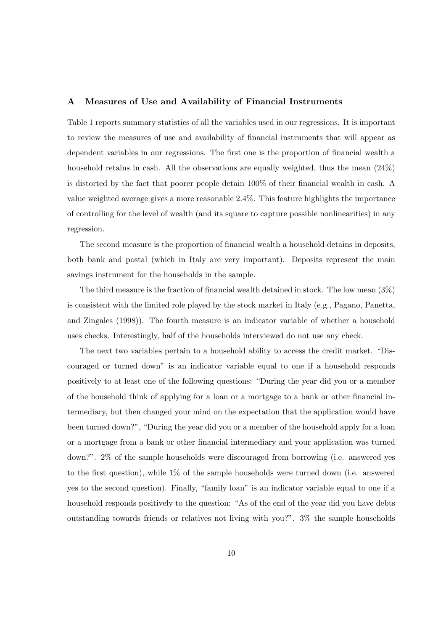### A Measures of Use and Availability of Financial Instruments

Table 1 reports summary statistics of all the variables used in our regressions. It is important to review the measures of use and availability of financial instruments that will appear as dependent variables in our regressions. The first one is the proportion of financial wealth a household retains in cash. All the observations are equally weighted, thus the mean  $(24%)$ is distorted by the fact that poorer people detain 100% of their financial wealth in cash. A value weighted average gives a more reasonable 2.4%. This feature highlights the importance of controlling for the level of wealth (and its square to capture possible nonlinearities) in any regression.

The second measure is the proportion of financial wealth a household detains in deposits, both bank and postal (which in Italy are very important). Deposits represent the main savings instrument for the households in the sample.

The third measure is the fraction of financial wealth detained in stock. The low mean (3%) is consistent with the limited role played by the stock market in Italy (e.g., Pagano, Panetta, and Zingales (1998)). The fourth measure is an indicator variable of whether a household uses checks. Interestingly, half of the households interviewed do not use any check.

The next two variables pertain to a household ability to access the credit market. "Discouraged or turned down" is an indicator variable equal to one if a household responds positively to at least one of the following questions: "During the year did you or a member of the household think of applying for a loan or a mortgage to a bank or other financial intermediary, but then changed your mind on the expectation that the application would have been turned down?", "During the year did you or a member of the household apply for a loan or a mortgage from a bank or other financial intermediary and your application was turned down?". 2% of the sample households were discouraged from borrowing (i.e. answered yes to the first question), while 1% of the sample households were turned down (i.e. answered yes to the second question). Finally, "family loan" is an indicator variable equal to one if a household responds positively to the question: "As of the end of the year did you have debts outstanding towards friends or relatives not living with you?". 3% the sample households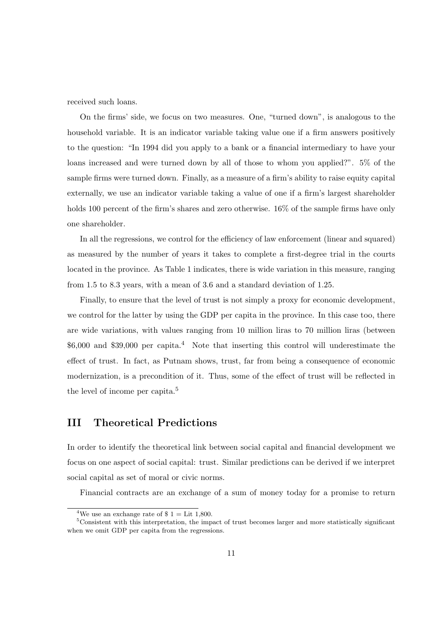received such loans.

On the firms' side, we focus on two measures. One, "turned down", is analogous to the household variable. It is an indicator variable taking value one if a firm answers positively to the question: "In 1994 did you apply to a bank or a financial intermediary to have your loans increased and were turned down by all of those to whom you applied?". 5% of the sample firms were turned down. Finally, as a measure of a firm's ability to raise equity capital externally, we use an indicator variable taking a value of one if a firm's largest shareholder holds 100 percent of the firm's shares and zero otherwise. 16% of the sample firms have only one shareholder.

In all the regressions, we control for the efficiency of law enforcement (linear and squared) as measured by the number of years it takes to complete a first-degree trial in the courts located in the province. As Table 1 indicates, there is wide variation in this measure, ranging from 1.5 to 8.3 years, with a mean of 3.6 and a standard deviation of 1.25.

Finally, to ensure that the level of trust is not simply a proxy for economic development, we control for the latter by using the GDP per capita in the province. In this case too, there are wide variations, with values ranging from 10 million liras to 70 million liras (between  $$6,000$  and  $$39,000$  per capita.<sup>4</sup> Note that inserting this control will underestimate the effect of trust. In fact, as Putnam shows, trust, far from being a consequence of economic modernization, is a precondition of it. Thus, some of the effect of trust will be reflected in the level of income per capita.<sup>5</sup>

## III Theoretical Predictions

In order to identify the theoretical link between social capital and financial development we focus on one aspect of social capital: trust. Similar predictions can be derived if we interpret social capital as set of moral or civic norms.

Financial contracts are an exchange of a sum of money today for a promise to return

<sup>&</sup>lt;sup>4</sup>We use an exchange rate of  $\text{\$1} = \text{Lit } 1,800$ .

 $5$ Consistent with this interpretation, the impact of trust becomes larger and more statistically significant when we omit GDP per capita from the regressions.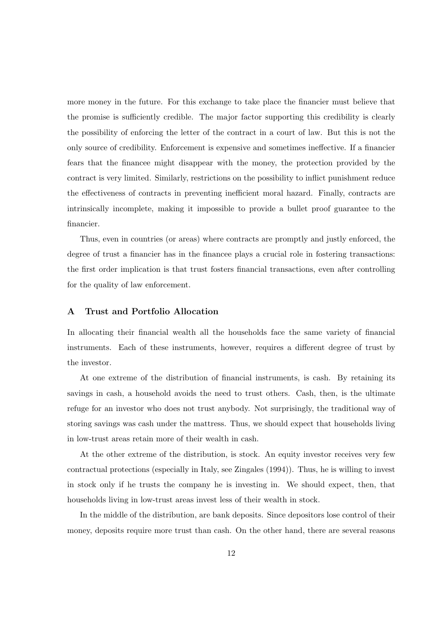more money in the future. For this exchange to take place the financier must believe that the promise is sufficiently credible. The major factor supporting this credibility is clearly the possibility of enforcing the letter of the contract in a court of law. But this is not the only source of credibility. Enforcement is expensive and sometimes ineffective. If a financier fears that the financee might disappear with the money, the protection provided by the contract is very limited. Similarly, restrictions on the possibility to inflict punishment reduce the effectiveness of contracts in preventing inefficient moral hazard. Finally, contracts are intrinsically incomplete, making it impossible to provide a bullet proof guarantee to the financier.

Thus, even in countries (or areas) where contracts are promptly and justly enforced, the degree of trust a financier has in the financee plays a crucial role in fostering transactions: the first order implication is that trust fosters financial transactions, even after controlling for the quality of law enforcement.

### A Trust and Portfolio Allocation

In allocating their financial wealth all the households face the same variety of financial instruments. Each of these instruments, however, requires a different degree of trust by the investor.

At one extreme of the distribution of financial instruments, is cash. By retaining its savings in cash, a household avoids the need to trust others. Cash, then, is the ultimate refuge for an investor who does not trust anybody. Not surprisingly, the traditional way of storing savings was cash under the mattress. Thus, we should expect that households living in low-trust areas retain more of their wealth in cash.

At the other extreme of the distribution, is stock. An equity investor receives very few contractual protections (especially in Italy, see Zingales (1994)). Thus, he is willing to invest in stock only if he trusts the company he is investing in. We should expect, then, that households living in low-trust areas invest less of their wealth in stock.

In the middle of the distribution, are bank deposits. Since depositors lose control of their money, deposits require more trust than cash. On the other hand, there are several reasons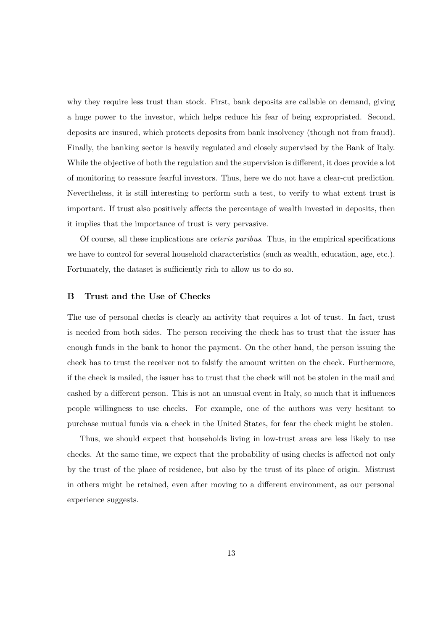why they require less trust than stock. First, bank deposits are callable on demand, giving a huge power to the investor, which helps reduce his fear of being expropriated. Second, deposits are insured, which protects deposits from bank insolvency (though not from fraud). Finally, the banking sector is heavily regulated and closely supervised by the Bank of Italy. While the objective of both the regulation and the supervision is different, it does provide a lot of monitoring to reassure fearful investors. Thus, here we do not have a clear-cut prediction. Nevertheless, it is still interesting to perform such a test, to verify to what extent trust is important. If trust also positively affects the percentage of wealth invested in deposits, then it implies that the importance of trust is very pervasive.

Of course, all these implications are ceteris paribus. Thus, in the empirical specifications we have to control for several household characteristics (such as wealth, education, age, etc.). Fortunately, the dataset is sufficiently rich to allow us to do so.

### B Trust and the Use of Checks

The use of personal checks is clearly an activity that requires a lot of trust. In fact, trust is needed from both sides. The person receiving the check has to trust that the issuer has enough funds in the bank to honor the payment. On the other hand, the person issuing the check has to trust the receiver not to falsify the amount written on the check. Furthermore, if the check is mailed, the issuer has to trust that the check will not be stolen in the mail and cashed by a different person. This is not an unusual event in Italy, so much that it influences people willingness to use checks. For example, one of the authors was very hesitant to purchase mutual funds via a check in the United States, for fear the check might be stolen.

Thus, we should expect that households living in low-trust areas are less likely to use checks. At the same time, we expect that the probability of using checks is affected not only by the trust of the place of residence, but also by the trust of its place of origin. Mistrust in others might be retained, even after moving to a different environment, as our personal experience suggests.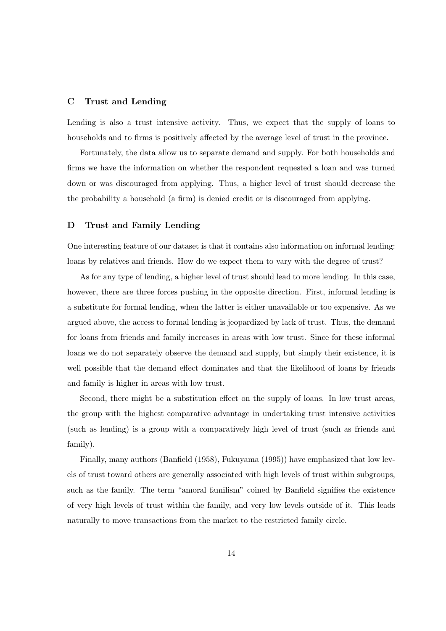### C Trust and Lending

Lending is also a trust intensive activity. Thus, we expect that the supply of loans to households and to firms is positively affected by the average level of trust in the province.

Fortunately, the data allow us to separate demand and supply. For both households and firms we have the information on whether the respondent requested a loan and was turned down or was discouraged from applying. Thus, a higher level of trust should decrease the the probability a household (a firm) is denied credit or is discouraged from applying.

### D Trust and Family Lending

One interesting feature of our dataset is that it contains also information on informal lending: loans by relatives and friends. How do we expect them to vary with the degree of trust?

As for any type of lending, a higher level of trust should lead to more lending. In this case, however, there are three forces pushing in the opposite direction. First, informal lending is a substitute for formal lending, when the latter is either unavailable or too expensive. As we argued above, the access to formal lending is jeopardized by lack of trust. Thus, the demand for loans from friends and family increases in areas with low trust. Since for these informal loans we do not separately observe the demand and supply, but simply their existence, it is well possible that the demand effect dominates and that the likelihood of loans by friends and family is higher in areas with low trust.

Second, there might be a substitution effect on the supply of loans. In low trust areas, the group with the highest comparative advantage in undertaking trust intensive activities (such as lending) is a group with a comparatively high level of trust (such as friends and family).

Finally, many authors (Banfield (1958), Fukuyama (1995)) have emphasized that low levels of trust toward others are generally associated with high levels of trust within subgroups, such as the family. The term "amoral familism" coined by Banfield signifies the existence of very high levels of trust within the family, and very low levels outside of it. This leads naturally to move transactions from the market to the restricted family circle.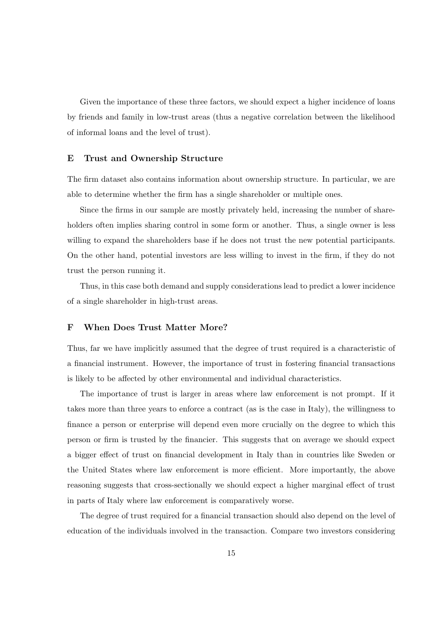Given the importance of these three factors, we should expect a higher incidence of loans by friends and family in low-trust areas (thus a negative correlation between the likelihood of informal loans and the level of trust).

### E Trust and Ownership Structure

The firm dataset also contains information about ownership structure. In particular, we are able to determine whether the firm has a single shareholder or multiple ones.

Since the firms in our sample are mostly privately held, increasing the number of shareholders often implies sharing control in some form or another. Thus, a single owner is less willing to expand the shareholders base if he does not trust the new potential participants. On the other hand, potential investors are less willing to invest in the firm, if they do not trust the person running it.

Thus, in this case both demand and supply considerations lead to predict a lower incidence of a single shareholder in high-trust areas.

### F When Does Trust Matter More?

Thus, far we have implicitly assumed that the degree of trust required is a characteristic of a financial instrument. However, the importance of trust in fostering financial transactions is likely to be affected by other environmental and individual characteristics.

The importance of trust is larger in areas where law enforcement is not prompt. If it takes more than three years to enforce a contract (as is the case in Italy), the willingness to finance a person or enterprise will depend even more crucially on the degree to which this person or firm is trusted by the financier. This suggests that on average we should expect a bigger effect of trust on financial development in Italy than in countries like Sweden or the United States where law enforcement is more efficient. More importantly, the above reasoning suggests that cross-sectionally we should expect a higher marginal effect of trust in parts of Italy where law enforcement is comparatively worse.

The degree of trust required for a financial transaction should also depend on the level of education of the individuals involved in the transaction. Compare two investors considering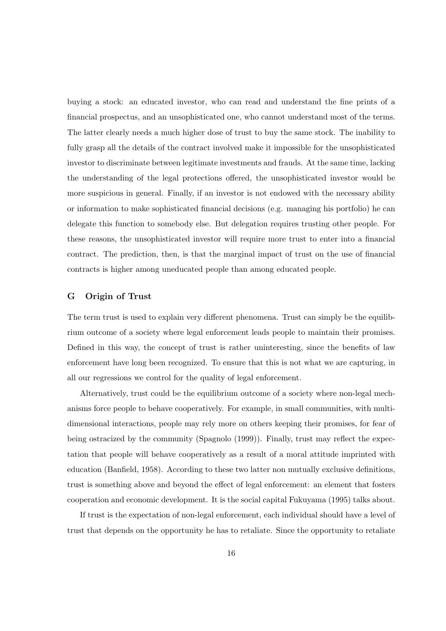buying a stock: an educated investor, who can read and understand the fine prints of a financial prospectus, and an unsophisticated one, who cannot understand most of the terms. The latter clearly needs a much higher dose of trust to buy the same stock. The inability to fully grasp all the details of the contract involved make it impossible for the unsophisticated investor to discriminate between legitimate investments and frauds. At the same time, lacking the understanding of the legal protections offered, the unsophisticated investor would be more suspicious in general. Finally, if an investor is not endowed with the necessary ability or information to make sophisticated financial decisions (e.g. managing his portfolio) he can delegate this function to somebody else. But delegation requires trusting other people. For these reasons, the unsophisticated investor will require more trust to enter into a financial contract. The prediction, then, is that the marginal impact of trust on the use of financial contracts is higher among uneducated people than among educated people.

### G Origin of Trust

The term trust is used to explain very different phenomena. Trust can simply be the equilibrium outcome of a society where legal enforcement leads people to maintain their promises. Defined in this way, the concept of trust is rather uninteresting, since the benefits of law enforcement have long been recognized. To ensure that this is not what we are capturing, in all our regressions we control for the quality of legal enforcement.

Alternatively, trust could be the equilibrium outcome of a society where non-legal mechanisms force people to behave cooperatively. For example, in small communities, with multidimensional interactions, people may rely more on others keeping their promises, for fear of being ostracized by the community (Spagnolo (1999)). Finally, trust may reflect the expectation that people will behave cooperatively as a result of a moral attitude imprinted with education (Banfield, 1958). According to these two latter non mutually exclusive definitions, trust is something above and beyond the effect of legal enforcement: an element that fosters cooperation and economic development. It is the social capital Fukuyama (1995) talks about.

If trust is the expectation of non-legal enforcement, each individual should have a level of trust that depends on the opportunity he has to retaliate. Since the opportunity to retaliate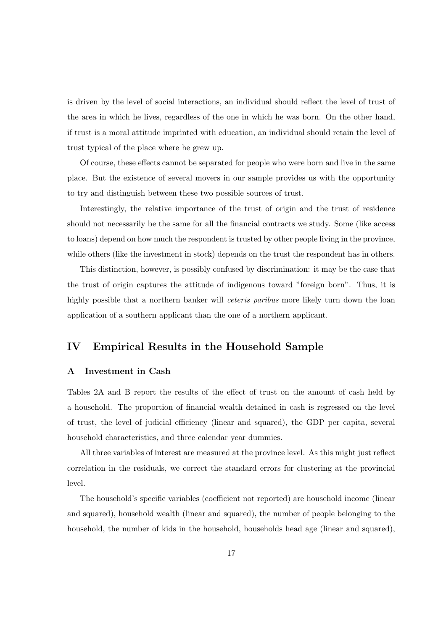is driven by the level of social interactions, an individual should reflect the level of trust of the area in which he lives, regardless of the one in which he was born. On the other hand, if trust is a moral attitude imprinted with education, an individual should retain the level of trust typical of the place where he grew up.

Of course, these effects cannot be separated for people who were born and live in the same place. But the existence of several movers in our sample provides us with the opportunity to try and distinguish between these two possible sources of trust.

Interestingly, the relative importance of the trust of origin and the trust of residence should not necessarily be the same for all the financial contracts we study. Some (like access to loans) depend on how much the respondent is trusted by other people living in the province, while others (like the investment in stock) depends on the trust the respondent has in others.

This distinction, however, is possibly confused by discrimination: it may be the case that the trust of origin captures the attitude of indigenous toward "foreign born". Thus, it is highly possible that a northern banker will *ceteris paribus* more likely turn down the loan application of a southern applicant than the one of a northern applicant.

## IV Empirical Results in the Household Sample

### A Investment in Cash

Tables 2A and B report the results of the effect of trust on the amount of cash held by a household. The proportion of financial wealth detained in cash is regressed on the level of trust, the level of judicial efficiency (linear and squared), the GDP per capita, several household characteristics, and three calendar year dummies.

All three variables of interest are measured at the province level. As this might just reflect correlation in the residuals, we correct the standard errors for clustering at the provincial level.

The household's specific variables (coefficient not reported) are household income (linear and squared), household wealth (linear and squared), the number of people belonging to the household, the number of kids in the household, households head age (linear and squared),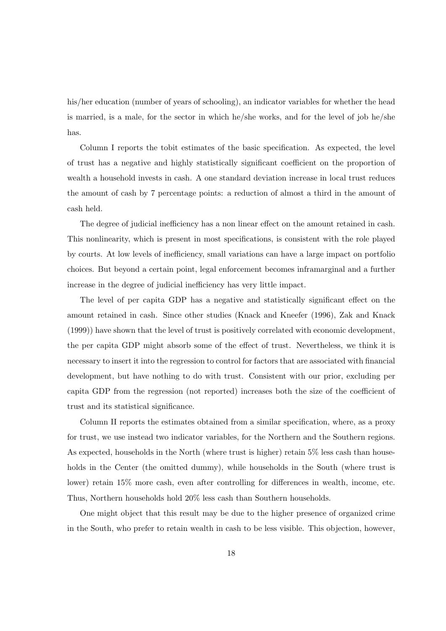his/her education (number of years of schooling), an indicator variables for whether the head is married, is a male, for the sector in which he/she works, and for the level of job he/she has.

Column I reports the tobit estimates of the basic specification. As expected, the level of trust has a negative and highly statistically significant coefficient on the proportion of wealth a household invests in cash. A one standard deviation increase in local trust reduces the amount of cash by 7 percentage points: a reduction of almost a third in the amount of cash held.

The degree of judicial inefficiency has a non linear effect on the amount retained in cash. This nonlinearity, which is present in most specifications, is consistent with the role played by courts. At low levels of inefficiency, small variations can have a large impact on portfolio choices. But beyond a certain point, legal enforcement becomes inframarginal and a further increase in the degree of judicial inefficiency has very little impact.

The level of per capita GDP has a negative and statistically significant effect on the amount retained in cash. Since other studies (Knack and Kneefer (1996), Zak and Knack (1999)) have shown that the level of trust is positively correlated with economic development, the per capita GDP might absorb some of the effect of trust. Nevertheless, we think it is necessary to insert it into the regression to control for factors that are associated with financial development, but have nothing to do with trust. Consistent with our prior, excluding per capita GDP from the regression (not reported) increases both the size of the coefficient of trust and its statistical significance.

Column II reports the estimates obtained from a similar specification, where, as a proxy for trust, we use instead two indicator variables, for the Northern and the Southern regions. As expected, households in the North (where trust is higher) retain 5% less cash than households in the Center (the omitted dummy), while households in the South (where trust is lower) retain 15% more cash, even after controlling for differences in wealth, income, etc. Thus, Northern households hold 20% less cash than Southern households.

One might object that this result may be due to the higher presence of organized crime in the South, who prefer to retain wealth in cash to be less visible. This objection, however,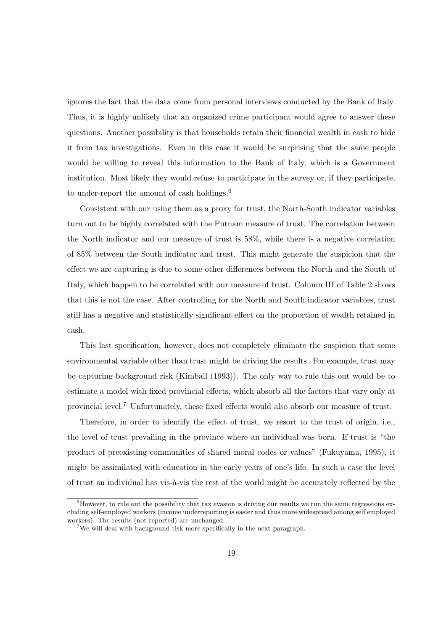ignores the fact that the data come from personal interviews conducted by the Bank of Italy. Thus, it is highly unlikely that an organized crime participant would agree to answer these questions. Another possibility is that households retain their financial wealth in cash to hide it from tax investigations. Even in this case it would be surprising that the same people would be willing to reveal this information to the Bank of Italy, which is a Government institution. Most likely they would refuse to participate in the survey or, if they participate, to under-report the amount of cash holdings.<sup>6</sup>

Consistent with our using them as a proxy for trust, the North-South indicator variables turn out to be highly correlated with the Putnam measure of trust. The correlation between the North indicator and our measure of trust is 58%, while there is a negative correlation of 85% between the South indicator and trust. This might generate the suspicion that the effect we are capturing is due to some other differences between the North and the South of Italy, which happen to be correlated with our measure of trust. Column III of Table 2 shows that this is not the case. After controlling for the North and South indicator variables, trust still has a negative and statistically significant effect on the proportion of wealth retained in cash.

This last specification, however, does not completely eliminate the suspicion that some environmental variable other than trust might be driving the results. For example, trust may be capturing background risk (Kimball (1993)). The only way to rule this out would be to estimate a model with fixed provincial effects, which absorb all the factors that vary only at provincial level.<sup>7</sup> Unfortunately, these fixed effects would also absorb our measure of trust.

Therefore, in order to identify the effect of trust, we resort to the trust of origin, i.e., the level of trust prevailing in the province where an individual was born. If trust is "the product of preexisting communities of shared moral codes or values" (Fukuyama, 1995), it might be assimilated with education in the early years of one's life. In such a case the level of trust an individual has vis-à-vis the rest of the world might be accurately reflected by the

 ${}^{6}$ However, to rule out the possibility that tax evasion is driving our results we run the same regressions excluding self-employed workers (income underreporting is easier and thus more widespread among self employed workers). The results (not reported) are unchanged.

<sup>&</sup>lt;sup>7</sup>We will deal with background risk more specifically in the next paragraph.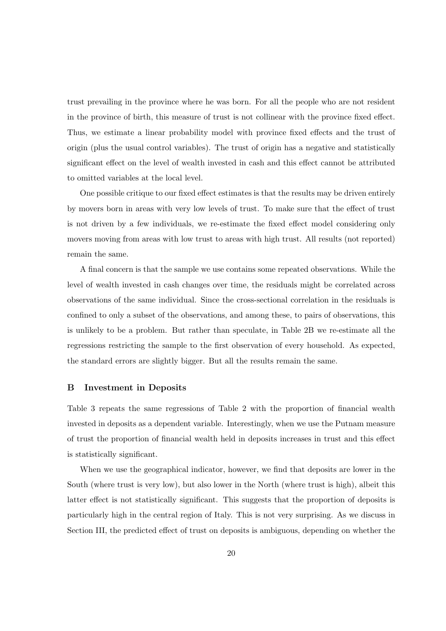trust prevailing in the province where he was born. For all the people who are not resident in the province of birth, this measure of trust is not collinear with the province fixed effect. Thus, we estimate a linear probability model with province fixed effects and the trust of origin (plus the usual control variables). The trust of origin has a negative and statistically significant effect on the level of wealth invested in cash and this effect cannot be attributed to omitted variables at the local level.

One possible critique to our fixed effect estimates is that the results may be driven entirely by movers born in areas with very low levels of trust. To make sure that the effect of trust is not driven by a few individuals, we re-estimate the fixed effect model considering only movers moving from areas with low trust to areas with high trust. All results (not reported) remain the same.

A final concern is that the sample we use contains some repeated observations. While the level of wealth invested in cash changes over time, the residuals might be correlated across observations of the same individual. Since the cross-sectional correlation in the residuals is confined to only a subset of the observations, and among these, to pairs of observations, this is unlikely to be a problem. But rather than speculate, in Table 2B we re-estimate all the regressions restricting the sample to the first observation of every household. As expected, the standard errors are slightly bigger. But all the results remain the same.

### B Investment in Deposits

Table 3 repeats the same regressions of Table 2 with the proportion of financial wealth invested in deposits as a dependent variable. Interestingly, when we use the Putnam measure of trust the proportion of financial wealth held in deposits increases in trust and this effect is statistically significant.

When we use the geographical indicator, however, we find that deposits are lower in the South (where trust is very low), but also lower in the North (where trust is high), albeit this latter effect is not statistically significant. This suggests that the proportion of deposits is particularly high in the central region of Italy. This is not very surprising. As we discuss in Section III, the predicted effect of trust on deposits is ambiguous, depending on whether the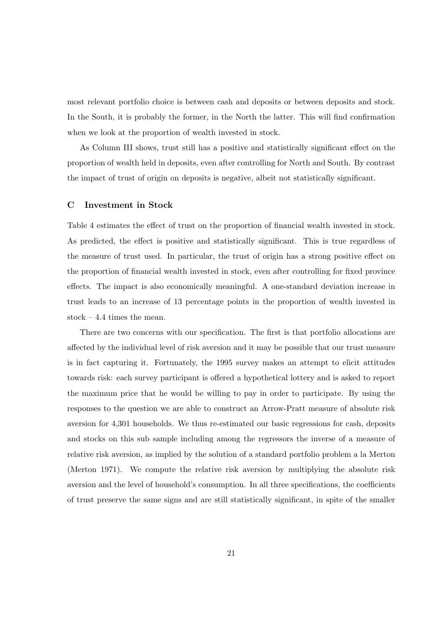most relevant portfolio choice is between cash and deposits or between deposits and stock. In the South, it is probably the former, in the North the latter. This will find confirmation when we look at the proportion of wealth invested in stock.

As Column III shows, trust still has a positive and statistically significant effect on the proportion of wealth held in deposits, even after controlling for North and South. By contrast the impact of trust of origin on deposits is negative, albeit not statistically significant.

### C Investment in Stock

Table 4 estimates the effect of trust on the proportion of financial wealth invested in stock. As predicted, the effect is positive and statistically significant. This is true regardless of the measure of trust used. In particular, the trust of origin has a strong positive effect on the proportion of financial wealth invested in stock, even after controlling for fixed province effects. The impact is also economically meaningful. A one-standard deviation increase in trust leads to an increase of 13 percentage points in the proportion of wealth invested in stock – 4.4 times the mean.

There are two concerns with our specification. The first is that portfolio allocations are affected by the individual level of risk aversion and it may be possible that our trust measure is in fact capturing it. Fortunately, the 1995 survey makes an attempt to elicit attitudes towards risk: each survey participant is offered a hypothetical lottery and is asked to report the maximum price that he would be willing to pay in order to participate. By using the responses to the question we are able to construct an Arrow-Pratt measure of absolute risk aversion for 4,301 households. We thus re-estimated our basic regressions for cash, deposits and stocks on this sub sample including among the regressors the inverse of a measure of relative risk aversion, as implied by the solution of a standard portfolio problem a la Merton (Merton 1971). We compute the relative risk aversion by multiplying the absolute risk aversion and the level of household's consumption. In all three specifications, the coefficients of trust preserve the same signs and are still statistically significant, in spite of the smaller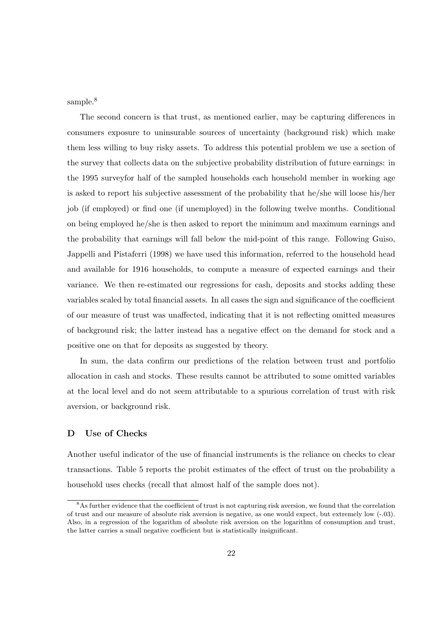sample.<sup>8</sup>

The second concern is that trust, as mentioned earlier, may be capturing differences in consumers exposure to uninsurable sources of uncertainty (background risk) which make them less willing to buy risky assets. To address this potential problem we use a section of the survey that collects data on the subjective probability distribution of future earnings: in the 1995 surveyfor half of the sampled households each household member in working age is asked to report his subjective assessment of the probability that he/she will loose his/her job (if employed) or find one (if unemployed) in the following twelve months. Conditional on being employed he/she is then asked to report the minimum and maximum earnings and the probability that earnings will fall below the mid-point of this range. Following Guiso, Jappelli and Pistaferri (1998) we have used this information, referred to the household head and available for 1916 households, to compute a measure of expected earnings and their variance. We then re-estimated our regressions for cash, deposits and stocks adding these variables scaled by total financial assets. In all cases the sign and significance of the coefficient of our measure of trust was unaffected, indicating that it is not reflecting omitted measures of background risk; the latter instead has a negative effect on the demand for stock and a positive one on that for deposits as suggested by theory.

In sum, the data confirm our predictions of the relation between trust and portfolio allocation in cash and stocks. These results cannot be attributed to some omitted variables at the local level and do not seem attributable to a spurious correlation of trust with risk aversion, or background risk.

### D Use of Checks

Another useful indicator of the use of financial instruments is the reliance on checks to clear transactions. Table 5 reports the probit estimates of the effect of trust on the probability a household uses checks (recall that almost half of the sample does not).

<sup>&</sup>lt;sup>8</sup>As further evidence that the coefficient of trust is not capturing risk aversion, we found that the correlation of trust and our measure of absolute risk aversion is negative, as one would expect, but extremely low (-.03). Also, in a regression of the logarithm of absolute risk aversion on the logarithm of consumption and trust, the latter carries a small negative coefficient but is statistically insignificant.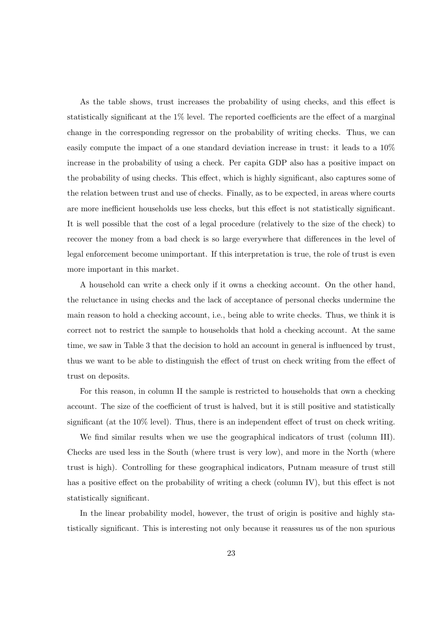As the table shows, trust increases the probability of using checks, and this effect is statistically significant at the 1% level. The reported coefficients are the effect of a marginal change in the corresponding regressor on the probability of writing checks. Thus, we can easily compute the impact of a one standard deviation increase in trust: it leads to a 10% increase in the probability of using a check. Per capita GDP also has a positive impact on the probability of using checks. This effect, which is highly significant, also captures some of the relation between trust and use of checks. Finally, as to be expected, in areas where courts are more inefficient households use less checks, but this effect is not statistically significant. It is well possible that the cost of a legal procedure (relatively to the size of the check) to recover the money from a bad check is so large everywhere that differences in the level of legal enforcement become unimportant. If this interpretation is true, the role of trust is even more important in this market.

A household can write a check only if it owns a checking account. On the other hand, the reluctance in using checks and the lack of acceptance of personal checks undermine the main reason to hold a checking account, i.e., being able to write checks. Thus, we think it is correct not to restrict the sample to households that hold a checking account. At the same time, we saw in Table 3 that the decision to hold an account in general is influenced by trust, thus we want to be able to distinguish the effect of trust on check writing from the effect of trust on deposits.

For this reason, in column II the sample is restricted to households that own a checking account. The size of the coefficient of trust is halved, but it is still positive and statistically significant (at the 10% level). Thus, there is an independent effect of trust on check writing.

We find similar results when we use the geographical indicators of trust (column III). Checks are used less in the South (where trust is very low), and more in the North (where trust is high). Controlling for these geographical indicators, Putnam measure of trust still has a positive effect on the probability of writing a check (column IV), but this effect is not statistically significant.

In the linear probability model, however, the trust of origin is positive and highly statistically significant. This is interesting not only because it reassures us of the non spurious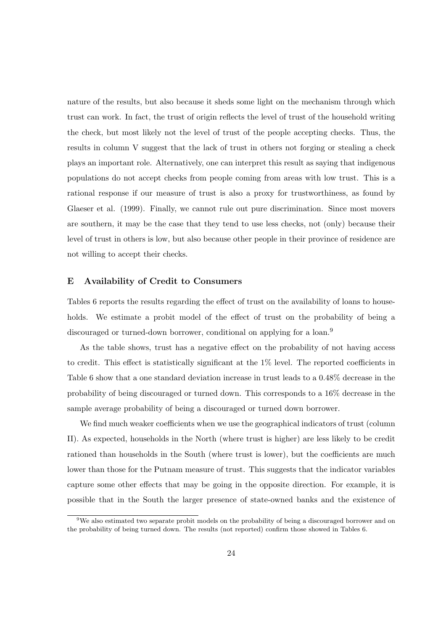nature of the results, but also because it sheds some light on the mechanism through which trust can work. In fact, the trust of origin reflects the level of trust of the household writing the check, but most likely not the level of trust of the people accepting checks. Thus, the results in column V suggest that the lack of trust in others not forging or stealing a check plays an important role. Alternatively, one can interpret this result as saying that indigenous populations do not accept checks from people coming from areas with low trust. This is a rational response if our measure of trust is also a proxy for trustworthiness, as found by Glaeser et al. (1999). Finally, we cannot rule out pure discrimination. Since most movers are southern, it may be the case that they tend to use less checks, not (only) because their level of trust in others is low, but also because other people in their province of residence are not willing to accept their checks.

### E Availability of Credit to Consumers

Tables 6 reports the results regarding the effect of trust on the availability of loans to households. We estimate a probit model of the effect of trust on the probability of being a discouraged or turned-down borrower, conditional on applying for a loan.<sup>9</sup>

As the table shows, trust has a negative effect on the probability of not having access to credit. This effect is statistically significant at the 1% level. The reported coefficients in Table 6 show that a one standard deviation increase in trust leads to a 0.48% decrease in the probability of being discouraged or turned down. This corresponds to a 16% decrease in the sample average probability of being a discouraged or turned down borrower.

We find much weaker coefficients when we use the geographical indicators of trust (column II). As expected, households in the North (where trust is higher) are less likely to be credit rationed than households in the South (where trust is lower), but the coefficients are much lower than those for the Putnam measure of trust. This suggests that the indicator variables capture some other effects that may be going in the opposite direction. For example, it is possible that in the South the larger presence of state-owned banks and the existence of

<sup>&</sup>lt;sup>9</sup>We also estimated two separate probit models on the probability of being a discouraged borrower and on the probability of being turned down. The results (not reported) confirm those showed in Tables 6.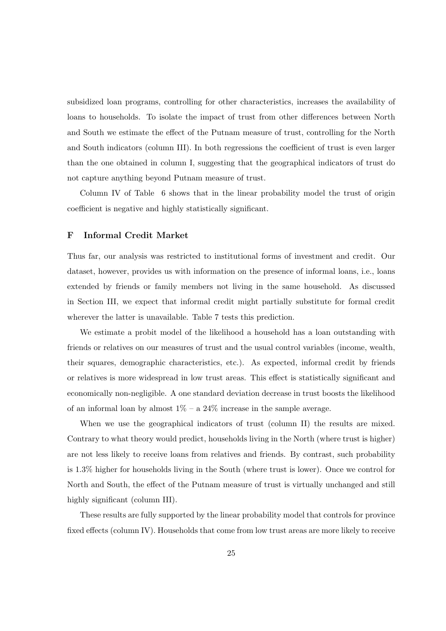subsidized loan programs, controlling for other characteristics, increases the availability of loans to households. To isolate the impact of trust from other differences between North and South we estimate the effect of the Putnam measure of trust, controlling for the North and South indicators (column III). In both regressions the coefficient of trust is even larger than the one obtained in column I, suggesting that the geographical indicators of trust do not capture anything beyond Putnam measure of trust.

Column IV of Table 6 shows that in the linear probability model the trust of origin coefficient is negative and highly statistically significant.

### F Informal Credit Market

Thus far, our analysis was restricted to institutional forms of investment and credit. Our dataset, however, provides us with information on the presence of informal loans, i.e., loans extended by friends or family members not living in the same household. As discussed in Section III, we expect that informal credit might partially substitute for formal credit wherever the latter is unavailable. Table 7 tests this prediction.

We estimate a probit model of the likelihood a household has a loan outstanding with friends or relatives on our measures of trust and the usual control variables (income, wealth, their squares, demographic characteristics, etc.). As expected, informal credit by friends or relatives is more widespread in low trust areas. This effect is statistically significant and economically non-negligible. A one standard deviation decrease in trust boosts the likelihood of an informal loan by almost  $1\%$  – a  $24\%$  increase in the sample average.

When we use the geographical indicators of trust (column II) the results are mixed. Contrary to what theory would predict, households living in the North (where trust is higher) are not less likely to receive loans from relatives and friends. By contrast, such probability is 1.3% higher for households living in the South (where trust is lower). Once we control for North and South, the effect of the Putnam measure of trust is virtually unchanged and still highly significant (column III).

These results are fully supported by the linear probability model that controls for province fixed effects (column IV). Households that come from low trust areas are more likely to receive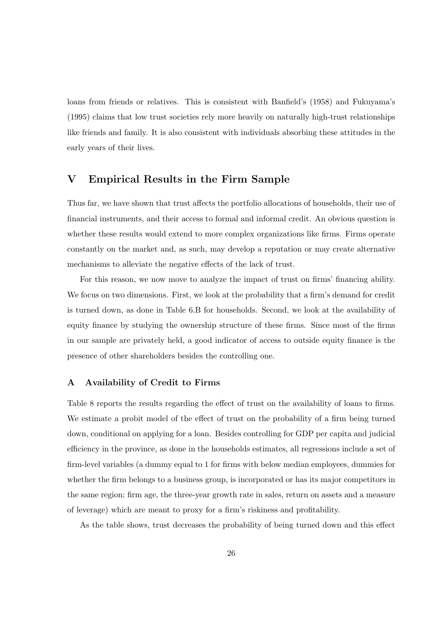loans from friends or relatives. This is consistent with Banfield's (1958) and Fukuyama's (1995) claims that low trust societies rely more heavily on naturally high-trust relationships like friends and family. It is also consistent with individuals absorbing these attitudes in the early years of their lives.

## V Empirical Results in the Firm Sample

Thus far, we have shown that trust affects the portfolio allocations of households, their use of financial instruments, and their access to formal and informal credit. An obvious question is whether these results would extend to more complex organizations like firms. Firms operate constantly on the market and, as such, may develop a reputation or may create alternative mechanisms to alleviate the negative effects of the lack of trust.

For this reason, we now move to analyze the impact of trust on firms' financing ability. We focus on two dimensions. First, we look at the probability that a firm's demand for credit is turned down, as done in Table 6.B for households. Second, we look at the availability of equity finance by studying the ownership structure of these firms. Since most of the firms in our sample are privately held, a good indicator of access to outside equity finance is the presence of other shareholders besides the controlling one.

### A Availability of Credit to Firms

Table 8 reports the results regarding the effect of trust on the availability of loans to firms. We estimate a probit model of the effect of trust on the probability of a firm being turned down, conditional on applying for a loan. Besides controlling for GDP per capita and judicial efficiency in the province, as done in the households estimates, all regressions include a set of firm-level variables (a dummy equal to 1 for firms with below median employees, dummies for whether the firm belongs to a business group, is incorporated or has its major competitors in the same region; firm age, the three-year growth rate in sales, return on assets and a measure of leverage) which are meant to proxy for a firm's riskiness and profitability.

As the table shows, trust decreases the probability of being turned down and this effect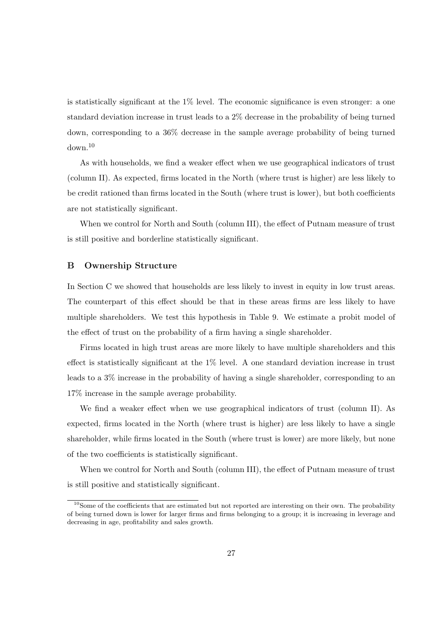is statistically significant at the  $1\%$  level. The economic significance is even stronger: a one standard deviation increase in trust leads to a 2% decrease in the probability of being turned down, corresponding to a 36% decrease in the sample average probability of being turned  $down<sup>10</sup>$ 

As with households, we find a weaker effect when we use geographical indicators of trust (column II). As expected, firms located in the North (where trust is higher) are less likely to be credit rationed than firms located in the South (where trust is lower), but both coefficients are not statistically significant.

When we control for North and South (column III), the effect of Putnam measure of trust is still positive and borderline statistically significant.

### B Ownership Structure

In Section C we showed that households are less likely to invest in equity in low trust areas. The counterpart of this effect should be that in these areas firms are less likely to have multiple shareholders. We test this hypothesis in Table 9. We estimate a probit model of the effect of trust on the probability of a firm having a single shareholder.

Firms located in high trust areas are more likely to have multiple shareholders and this effect is statistically significant at the 1% level. A one standard deviation increase in trust leads to a 3% increase in the probability of having a single shareholder, corresponding to an 17% increase in the sample average probability.

We find a weaker effect when we use geographical indicators of trust (column II). As expected, firms located in the North (where trust is higher) are less likely to have a single shareholder, while firms located in the South (where trust is lower) are more likely, but none of the two coefficients is statistically significant.

When we control for North and South (column III), the effect of Putnam measure of trust is still positive and statistically significant.

<sup>&</sup>lt;sup>10</sup>Some of the coefficients that are estimated but not reported are interesting on their own. The probability of being turned down is lower for larger firms and firms belonging to a group; it is increasing in leverage and decreasing in age, profitability and sales growth.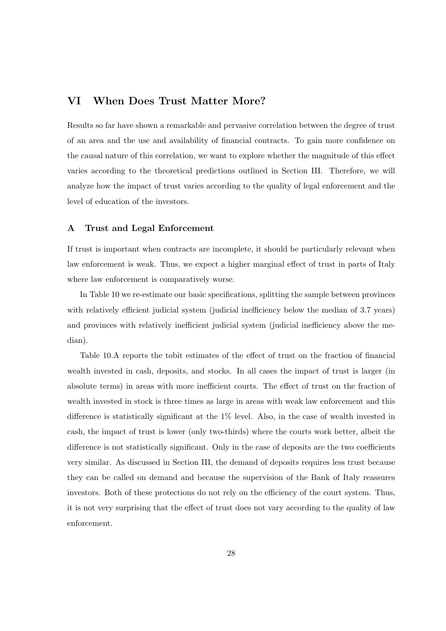## VI When Does Trust Matter More?

Results so far have shown a remarkable and pervasive correlation between the degree of trust of an area and the use and availability of financial contracts. To gain more confidence on the causal nature of this correlation, we want to explore whether the magnitude of this effect varies according to the theoretical predictions outlined in Section III. Therefore, we will analyze how the impact of trust varies according to the quality of legal enforcement and the level of education of the investors.

### A Trust and Legal Enforcement

If trust is important when contracts are incomplete, it should be particularly relevant when law enforcement is weak. Thus, we expect a higher marginal effect of trust in parts of Italy where law enforcement is comparatively worse.

In Table 10 we re-estimate our basic specifications, splitting the sample between provinces with relatively efficient judicial system (judicial inefficiency below the median of 3.7 years) and provinces with relatively inefficient judicial system (judicial inefficiency above the median).

Table 10.A reports the tobit estimates of the effect of trust on the fraction of financial wealth invested in cash, deposits, and stocks. In all cases the impact of trust is larger (in absolute terms) in areas with more inefficient courts. The effect of trust on the fraction of wealth invested in stock is three times as large in areas with weak law enforcement and this difference is statistically significant at the 1% level. Also, in the case of wealth invested in cash, the impact of trust is lower (only two-thirds) where the courts work better, albeit the difference is not statistically significant. Only in the case of deposits are the two coefficients very similar. As discussed in Section III, the demand of deposits requires less trust because they can be called on demand and because the supervision of the Bank of Italy reassures investors. Both of these protections do not rely on the efficiency of the court system. Thus, it is not very surprising that the effect of trust does not vary according to the quality of law enforcement.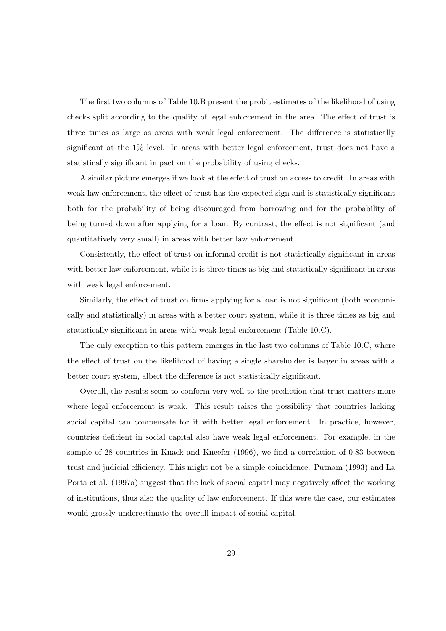The first two columns of Table 10.B present the probit estimates of the likelihood of using checks split according to the quality of legal enforcement in the area. The effect of trust is three times as large as areas with weak legal enforcement. The difference is statistically significant at the 1% level. In areas with better legal enforcement, trust does not have a statistically significant impact on the probability of using checks.

A similar picture emerges if we look at the effect of trust on access to credit. In areas with weak law enforcement, the effect of trust has the expected sign and is statistically significant both for the probability of being discouraged from borrowing and for the probability of being turned down after applying for a loan. By contrast, the effect is not significant (and quantitatively very small) in areas with better law enforcement.

Consistently, the effect of trust on informal credit is not statistically significant in areas with better law enforcement, while it is three times as big and statistically significant in areas with weak legal enforcement.

Similarly, the effect of trust on firms applying for a loan is not significant (both economically and statistically) in areas with a better court system, while it is three times as big and statistically significant in areas with weak legal enforcement (Table 10.C).

The only exception to this pattern emerges in the last two columns of Table 10.C, where the effect of trust on the likelihood of having a single shareholder is larger in areas with a better court system, albeit the difference is not statistically significant.

Overall, the results seem to conform very well to the prediction that trust matters more where legal enforcement is weak. This result raises the possibility that countries lacking social capital can compensate for it with better legal enforcement. In practice, however, countries deficient in social capital also have weak legal enforcement. For example, in the sample of 28 countries in Knack and Kneefer (1996), we find a correlation of 0.83 between trust and judicial efficiency. This might not be a simple coincidence. Putnam (1993) and La Porta et al. (1997a) suggest that the lack of social capital may negatively affect the working of institutions, thus also the quality of law enforcement. If this were the case, our estimates would grossly underestimate the overall impact of social capital.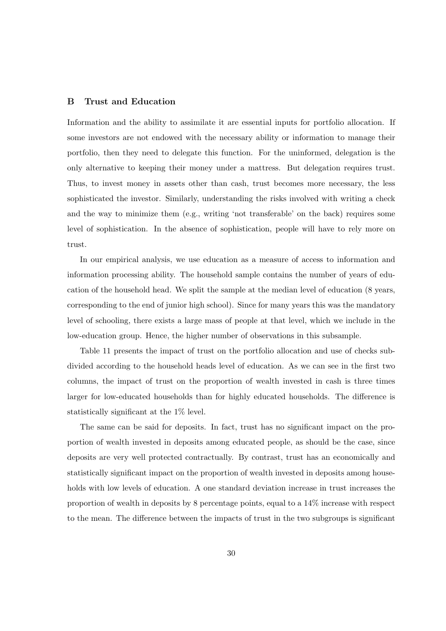### B Trust and Education

Information and the ability to assimilate it are essential inputs for portfolio allocation. If some investors are not endowed with the necessary ability or information to manage their portfolio, then they need to delegate this function. For the uninformed, delegation is the only alternative to keeping their money under a mattress. But delegation requires trust. Thus, to invest money in assets other than cash, trust becomes more necessary, the less sophisticated the investor. Similarly, understanding the risks involved with writing a check and the way to minimize them (e.g., writing 'not transferable' on the back) requires some level of sophistication. In the absence of sophistication, people will have to rely more on trust.

In our empirical analysis, we use education as a measure of access to information and information processing ability. The household sample contains the number of years of education of the household head. We split the sample at the median level of education (8 years, corresponding to the end of junior high school). Since for many years this was the mandatory level of schooling, there exists a large mass of people at that level, which we include in the low-education group. Hence, the higher number of observations in this subsample.

Table 11 presents the impact of trust on the portfolio allocation and use of checks subdivided according to the household heads level of education. As we can see in the first two columns, the impact of trust on the proportion of wealth invested in cash is three times larger for low-educated households than for highly educated households. The difference is statistically significant at the 1% level.

The same can be said for deposits. In fact, trust has no significant impact on the proportion of wealth invested in deposits among educated people, as should be the case, since deposits are very well protected contractually. By contrast, trust has an economically and statistically significant impact on the proportion of wealth invested in deposits among households with low levels of education. A one standard deviation increase in trust increases the proportion of wealth in deposits by 8 percentage points, equal to a 14% increase with respect to the mean. The difference between the impacts of trust in the two subgroups is significant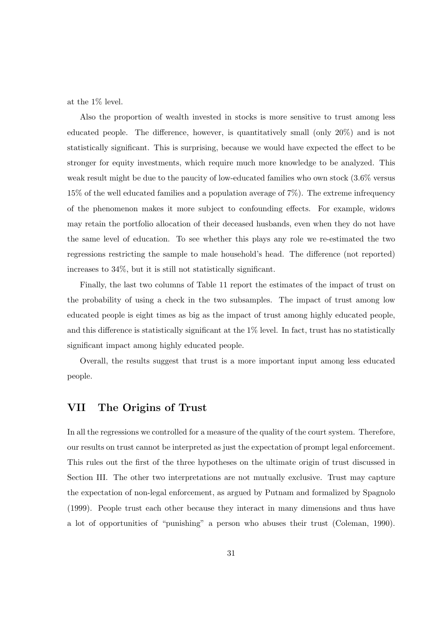at the 1% level.

Also the proportion of wealth invested in stocks is more sensitive to trust among less educated people. The difference, however, is quantitatively small (only 20%) and is not statistically significant. This is surprising, because we would have expected the effect to be stronger for equity investments, which require much more knowledge to be analyzed. This weak result might be due to the paucity of low-educated families who own stock (3.6% versus 15% of the well educated families and a population average of 7%). The extreme infrequency of the phenomenon makes it more subject to confounding effects. For example, widows may retain the portfolio allocation of their deceased husbands, even when they do not have the same level of education. To see whether this plays any role we re-estimated the two regressions restricting the sample to male household's head. The difference (not reported) increases to 34%, but it is still not statistically significant.

Finally, the last two columns of Table 11 report the estimates of the impact of trust on the probability of using a check in the two subsamples. The impact of trust among low educated people is eight times as big as the impact of trust among highly educated people, and this difference is statistically significant at the  $1\%$  level. In fact, trust has no statistically significant impact among highly educated people.

Overall, the results suggest that trust is a more important input among less educated people.

# VII The Origins of Trust

In all the regressions we controlled for a measure of the quality of the court system. Therefore, our results on trust cannot be interpreted as just the expectation of prompt legal enforcement. This rules out the first of the three hypotheses on the ultimate origin of trust discussed in Section III. The other two interpretations are not mutually exclusive. Trust may capture the expectation of non-legal enforcement, as argued by Putnam and formalized by Spagnolo (1999). People trust each other because they interact in many dimensions and thus have a lot of opportunities of "punishing" a person who abuses their trust (Coleman, 1990).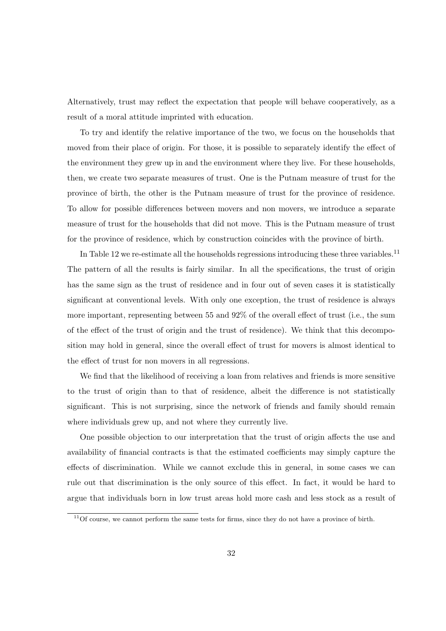Alternatively, trust may reflect the expectation that people will behave cooperatively, as a result of a moral attitude imprinted with education.

To try and identify the relative importance of the two, we focus on the households that moved from their place of origin. For those, it is possible to separately identify the effect of the environment they grew up in and the environment where they live. For these households, then, we create two separate measures of trust. One is the Putnam measure of trust for the province of birth, the other is the Putnam measure of trust for the province of residence. To allow for possible differences between movers and non movers, we introduce a separate measure of trust for the households that did not move. This is the Putnam measure of trust for the province of residence, which by construction coincides with the province of birth.

In Table 12 we re-estimate all the households regressions introducing these three variables.<sup>11</sup> The pattern of all the results is fairly similar. In all the specifications, the trust of origin has the same sign as the trust of residence and in four out of seven cases it is statistically significant at conventional levels. With only one exception, the trust of residence is always more important, representing between 55 and 92% of the overall effect of trust (i.e., the sum of the effect of the trust of origin and the trust of residence). We think that this decomposition may hold in general, since the overall effect of trust for movers is almost identical to the effect of trust for non movers in all regressions.

We find that the likelihood of receiving a loan from relatives and friends is more sensitive to the trust of origin than to that of residence, albeit the difference is not statistically significant. This is not surprising, since the network of friends and family should remain where individuals grew up, and not where they currently live.

One possible objection to our interpretation that the trust of origin affects the use and availability of financial contracts is that the estimated coefficients may simply capture the effects of discrimination. While we cannot exclude this in general, in some cases we can rule out that discrimination is the only source of this effect. In fact, it would be hard to argue that individuals born in low trust areas hold more cash and less stock as a result of

 $11$ Of course, we cannot perform the same tests for firms, since they do not have a province of birth.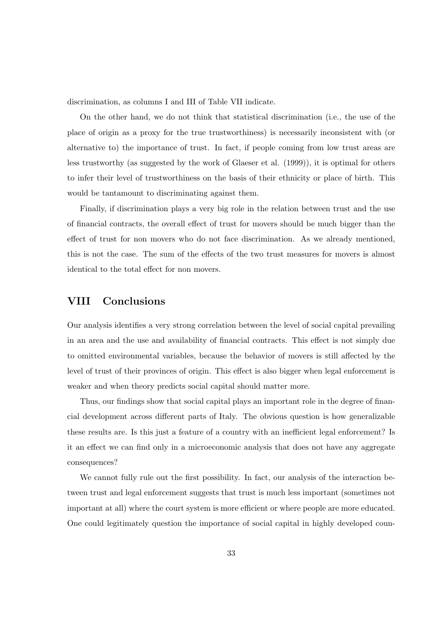discrimination, as columns I and III of Table VII indicate.

On the other hand, we do not think that statistical discrimination (i.e., the use of the place of origin as a proxy for the true trustworthiness) is necessarily inconsistent with (or alternative to) the importance of trust. In fact, if people coming from low trust areas are less trustworthy (as suggested by the work of Glaeser et al. (1999)), it is optimal for others to infer their level of trustworthiness on the basis of their ethnicity or place of birth. This would be tantamount to discriminating against them.

Finally, if discrimination plays a very big role in the relation between trust and the use of financial contracts, the overall effect of trust for movers should be much bigger than the effect of trust for non movers who do not face discrimination. As we already mentioned, this is not the case. The sum of the effects of the two trust measures for movers is almost identical to the total effect for non movers.

# VIII Conclusions

Our analysis identifies a very strong correlation between the level of social capital prevailing in an area and the use and availability of financial contracts. This effect is not simply due to omitted environmental variables, because the behavior of movers is still affected by the level of trust of their provinces of origin. This effect is also bigger when legal enforcement is weaker and when theory predicts social capital should matter more.

Thus, our findings show that social capital plays an important role in the degree of financial development across different parts of Italy. The obvious question is how generalizable these results are. Is this just a feature of a country with an inefficient legal enforcement? Is it an effect we can find only in a microeconomic analysis that does not have any aggregate consequences?

We cannot fully rule out the first possibility. In fact, our analysis of the interaction between trust and legal enforcement suggests that trust is much less important (sometimes not important at all) where the court system is more efficient or where people are more educated. One could legitimately question the importance of social capital in highly developed coun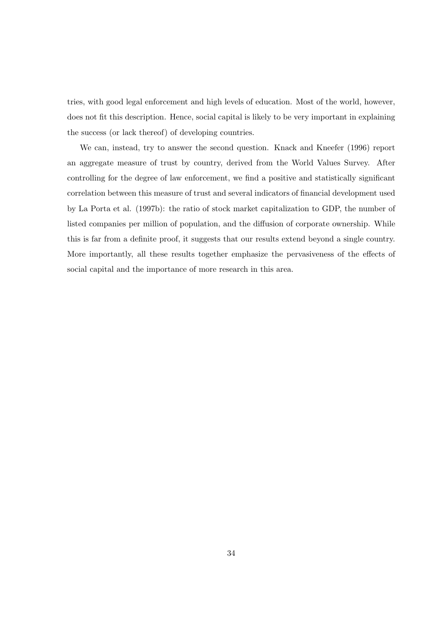tries, with good legal enforcement and high levels of education. Most of the world, however, does not fit this description. Hence, social capital is likely to be very important in explaining the success (or lack thereof) of developing countries.

We can, instead, try to answer the second question. Knack and Kneefer (1996) report an aggregate measure of trust by country, derived from the World Values Survey. After controlling for the degree of law enforcement, we find a positive and statistically significant correlation between this measure of trust and several indicators of financial development used by La Porta et al. (1997b): the ratio of stock market capitalization to GDP, the number of listed companies per million of population, and the diffusion of corporate ownership. While this is far from a definite proof, it suggests that our results extend beyond a single country. More importantly, all these results together emphasize the pervasiveness of the effects of social capital and the importance of more research in this area.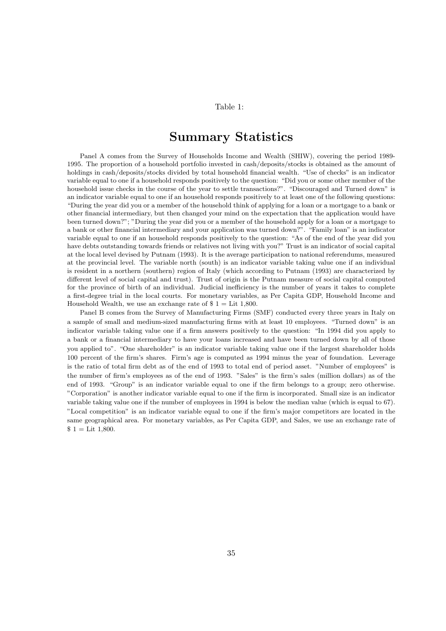### Table 1:

# Summary Statistics

Panel A comes from the Survey of Households Income and Wealth (SHIW), covering the period 1989- 1995. The proportion of a household portfolio invested in cash/deposits/stocks is obtained as the amount of holdings in cash/deposits/stocks divided by total household financial wealth. "Use of checks" is an indicator variable equal to one if a household responds positively to the question: "Did you or some other member of the household issue checks in the course of the year to settle transactions?". "Discouraged and Turned down" is an indicator variable equal to one if an household responds positively to at least one of the following questions: "During the year did you or a member of the household think of applying for a loan or a mortgage to a bank or other financial intermediary, but then changed your mind on the expectation that the application would have been turned down?"; "During the year did you or a member of the household apply for a loan or a mortgage to a bank or other financial intermediary and your application was turned down?". "Family loan" is an indicator variable equal to one if an household responds positively to the question: "As of the end of the year did you have debts outstanding towards friends or relatives not living with you?" Trust is an indicator of social capital at the local level devised by Putnam (1993). It is the average participation to national referendums, measured at the provincial level. The variable north (south) is an indicator variable taking value one if an individual is resident in a northern (southern) region of Italy (which according to Putnam (1993) are characterized by different level of social capital and trust). Trust of origin is the Putnam measure of social capital computed for the province of birth of an individual. Judicial inefficiency is the number of years it takes to complete a first-degree trial in the local courts. For monetary variables, as Per Capita GDP, Household Income and Household Wealth, we use an exchange rate of  $\$ 1 =$  Lit 1,800.

Panel B comes from the Survey of Manufacturing Firms (SMF) conducted every three years in Italy on a sample of small and medium-sized manufacturing firms with at least 10 employees. "Turned down" is an indicator variable taking value one if a firm answers positively to the question: "In 1994 did you apply to a bank or a financial intermediary to have your loans increased and have been turned down by all of those you applied to". "One shareholder" is an indicator variable taking value one if the largest shareholder holds 100 percent of the firm's shares. Firm's age is computed as 1994 minus the year of foundation. Leverage is the ratio of total firm debt as of the end of 1993 to total end of period asset. "Number of employees" is the number of firm's employees as of the end of 1993. "Sales" is the firm's sales (million dollars) as of the end of 1993. "Group" is an indicator variable equal to one if the firm belongs to a group; zero otherwise. "Corporation" is another indicator variable equal to one if the firm is incorporated. Small size is an indicator variable taking value one if the number of employees in 1994 is below the median value (which is equal to 67). "Local competition" is an indicator variable equal to one if the firm's major competitors are located in the same geographical area. For monetary variables, as Per Capita GDP, and Sales, we use an exchange rate of  $$ 1 = Lit 1,800.$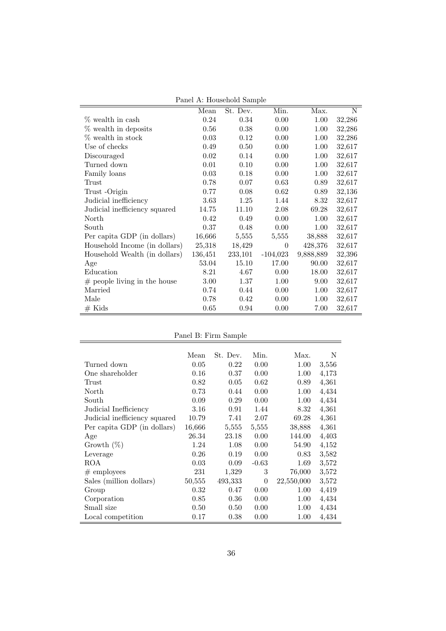|                                | Mean    | St. Dev. | Min.       | Max.      | N      |
|--------------------------------|---------|----------|------------|-----------|--------|
| $%$ wealth in cash             | 0.24    | 0.34     | 0.00       | 1.00      | 32,286 |
| % wealth in deposits           | 0.56    | 0.38     | 0.00       | 1.00      | 32,286 |
| % wealth in stock              | 0.03    | 0.12     | 0.00       | 1.00      | 32,286 |
| Use of checks                  | 0.49    | 0.50     | 0.00       | 1.00      | 32,617 |
| Discouraged                    | 0.02    | 0.14     | 0.00       | 1.00      | 32,617 |
| Turned down                    | 0.01    | 0.10     | 0.00       | 1.00      | 32,617 |
| Family loans                   | 0.03    | 0.18     | 0.00       | 1.00      | 32,617 |
| Trust                          | 0.78    | 0.07     | 0.63       | 0.89      | 32,617 |
| Trust -Origin                  | 0.77    | 0.08     | 0.62       | 0.89      | 32,136 |
| Judicial inefficiency          | 3.63    | 1.25     | 1.44       | 8.32      | 32,617 |
| Judicial inefficiency squared  | 14.75   | 11.10    | 2.08       | 69.28     | 32,617 |
| North                          | 0.42    | 0.49     | 0.00       | 1.00      | 32,617 |
| South                          | 0.37    | 0.48     | 0.00       | 1.00      | 32,617 |
| Per capita GDP (in dollars)    | 16,666  | 5,555    | 5,555      | 38,888    | 32,617 |
| Household Income (in dollars)  | 25,318  | 18,429   | $\theta$   | 428,376   | 32,617 |
| Household Wealth (in dollars)  | 136,451 | 233,101  | $-104,023$ | 9,888,889 | 32,396 |
| Age                            | 53.04   | 15.10    | 17.00      | 90.00     | 32,617 |
| Education                      | 8.21    | 4.67     | 0.00       | 18.00     | 32,617 |
| $#$ people living in the house | 3.00    | 1.37     | 1.00       | 9.00      | 32,617 |
| Married                        | 0.74    | 0.44     | 0.00       | 1.00      | 32,617 |
| Male                           | 0.78    | $0.42\,$ | 0.00       | 1.00      | 32,617 |
| $#$ Kids                       | 0.65    | 0.94     | 0.00       | 7.00      | 32,617 |

Panel A: Household Sample

Panel B: Firm Sample

|                               | Mean   | St. Dev. | Min.     | Max.       | N     |
|-------------------------------|--------|----------|----------|------------|-------|
| Turned down                   | 0.05   | 0.22     | 0.00     | 1.00       | 3,556 |
| One shareholder               | 0.16   | 0.37     | 0.00     | 1.00       | 4,173 |
| Trust                         | 0.82   | 0.05     | 0.62     | 0.89       | 4,361 |
| North                         | 0.73   | 0.44     | 0.00     | 1.00       | 4.434 |
| South                         | 0.09   | 0.29     | 0.00     | 1.00       | 4,434 |
| Judicial Inefficiency         | 3.16   | 0.91     | 1.44     | 8.32       | 4,361 |
| Judicial inefficiency squared | 10.79  | 7.41     | 2.07     | 69.28      | 4,361 |
| Per capita GDP (in dollars)   | 16,666 | 5,555    | 5,555    | 38,888     | 4,361 |
| Age                           | 26.34  | 23.18    | 0.00     | 144.00     | 4,403 |
| Growth $(\%)$                 | 1.24   | 1.08     | 0.00     | 54.90      | 4,152 |
| Leverage                      | 0.26   | 0.19     | 0.00     | 0.83       | 3,582 |
| <b>ROA</b>                    | 0.03   | 0.09     | $-0.63$  | 1.69       | 3,572 |
| $#$ employees                 | 231    | 1,329    | 3        | 76,000     | 3,572 |
| Sales (million dollars)       | 50,555 | 493,333  | $\theta$ | 22,550,000 | 3,572 |
| Group                         | 0.32   | 0.47     | 0.00     | 1.00       | 4,419 |
| Corporation                   | 0.85   | 0.36     | 0.00     | 1.00       | 4.434 |
| Small size                    | 0.50   | 0.50     | 0.00     | 1.00       | 4,434 |
| Local competition             | 0.17   | 0.38     | 0.00     | 1.00       | 4.434 |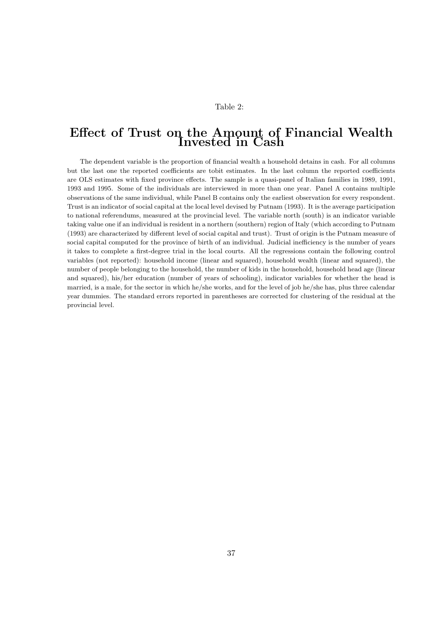### Table 2:

# Effect of Trust on the Amount of Financial Wealth Invested in Cash

The dependent variable is the proportion of financial wealth a household detains in cash. For all columns but the last one the reported coefficients are tobit estimates. In the last column the reported coefficients are OLS estimates with fixed province effects. The sample is a quasi-panel of Italian families in 1989, 1991, 1993 and 1995. Some of the individuals are interviewed in more than one year. Panel A contains multiple observations of the same individual, while Panel B contains only the earliest observation for every respondent. Trust is an indicator of social capital at the local level devised by Putnam (1993). It is the average participation to national referendums, measured at the provincial level. The variable north (south) is an indicator variable taking value one if an individual is resident in a northern (southern) region of Italy (which according to Putnam (1993) are characterized by different level of social capital and trust). Trust of origin is the Putnam measure of social capital computed for the province of birth of an individual. Judicial inefficiency is the number of years it takes to complete a first-degree trial in the local courts. All the regressions contain the following control variables (not reported): household income (linear and squared), household wealth (linear and squared), the number of people belonging to the household, the number of kids in the household, household head age (linear and squared), his/her education (number of years of schooling), indicator variables for whether the head is married, is a male, for the sector in which he/she works, and for the level of job he/she has, plus three calendar year dummies. The standard errors reported in parentheses are corrected for clustering of the residual at the provincial level.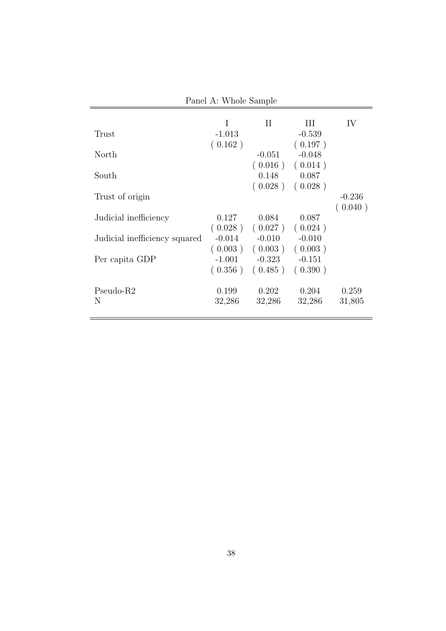|                               | I ally <i>II</i> . Whole balliple |          |          |          |
|-------------------------------|-----------------------------------|----------|----------|----------|
|                               | I                                 | $\rm II$ | Ш        | IV       |
| Trust                         | $-1.013$                          |          | $-0.539$ |          |
|                               | (0.162)                           |          | (0.197)  |          |
| North                         |                                   | $-0.051$ | $-0.048$ |          |
|                               |                                   | (0.016)  | (0.014)  |          |
| South                         |                                   | 0.148    | 0.087    |          |
|                               |                                   | (0.028)  | (0.028)  |          |
| Trust of origin               |                                   |          |          | $-0.236$ |
|                               |                                   |          |          | 0.040)   |
| Judicial inefficiency         | 0.127                             | 0.084    | 0.087    |          |
|                               | (0.028)                           | (0.027)  | (0.024)  |          |
| Judicial inefficiency squared | $-0.014$                          | $-0.010$ | $-0.010$ |          |
|                               | (0.003)                           | (0.003)  | (0.003)  |          |
| Per capita GDP                | $-1.001$                          | $-0.323$ | $-0.151$ |          |
|                               | (0.356)                           | (0.485)  | (0.390)  |          |
|                               |                                   |          |          |          |
| $Pseudo-R2$                   | 0.199                             | 0.202    | 0.204    | 0.259    |
| Ν                             | 32,286                            | 32,286   | 32,286   | 31,805   |

Panel A: Whole Sample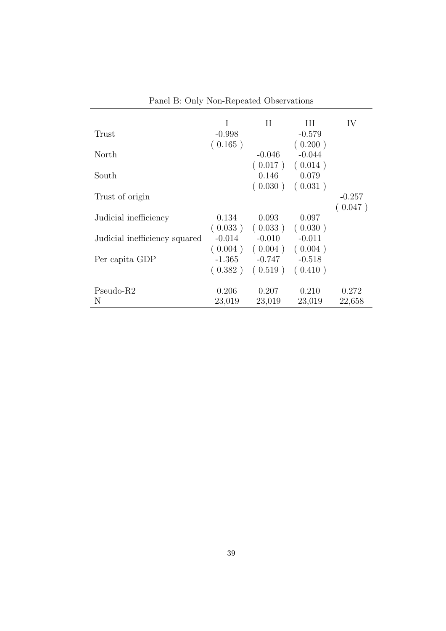|                               | I        | $\rm II$ | Ш        | IV       |
|-------------------------------|----------|----------|----------|----------|
| Trust                         | $-0.998$ |          | $-0.579$ |          |
|                               | (0.165)  |          | (0.200)  |          |
| North                         |          | $-0.046$ | $-0.044$ |          |
|                               |          | (0.017)  | (0.014)  |          |
| South                         |          | 0.146    | 0.079    |          |
|                               |          | (0.030)  | (0.031)  |          |
| Trust of origin               |          |          |          | $-0.257$ |
|                               |          |          |          | (0.047)  |
| Judicial inefficiency         | 0.134    | 0.093    | 0.097    |          |
|                               | (0.033)  | (0.033)  | (0.030)  |          |
| Judicial inefficiency squared | $-0.014$ | $-0.010$ | $-0.011$ |          |
|                               | (0.004)  | (0.004)  | (0.004)  |          |
| Per capita GDP                | $-1.365$ | $-0.747$ | $-0.518$ |          |
|                               | (0.382)  | (0.519)  | (0.410)  |          |
|                               |          |          |          |          |
| $Pseudo-R2$                   | 0.206    | 0.207    | 0.210    | 0.272    |
| Ν                             | 23,019   | 23,019   | 23,019   | 22,658   |

Panel B: Only Non-Repeated Observations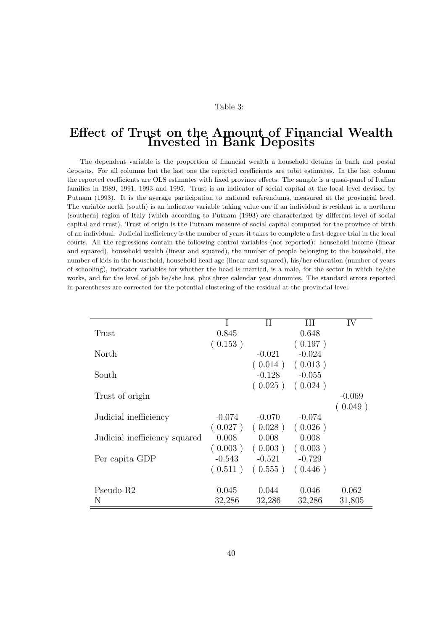### Table 3:

# Effect of Trust on the Amount of Financial Wealth Invested in Bank Deposits

The dependent variable is the proportion of financial wealth a household detains in bank and postal deposits. For all columns but the last one the reported coefficients are tobit estimates. In the last column the reported coefficients are OLS estimates with fixed province effects. The sample is a quasi-panel of Italian families in 1989, 1991, 1993 and 1995. Trust is an indicator of social capital at the local level devised by Putnam (1993). It is the average participation to national referendums, measured at the provincial level. The variable north (south) is an indicator variable taking value one if an individual is resident in a northern (southern) region of Italy (which according to Putnam (1993) are characterized by different level of social capital and trust). Trust of origin is the Putnam measure of social capital computed for the province of birth of an individual. Judicial inefficiency is the number of years it takes to complete a first-degree trial in the local courts. All the regressions contain the following control variables (not reported): household income (linear and squared), household wealth (linear and squared), the number of people belonging to the household, the number of kids in the household, household head age (linear and squared), his/her education (number of years of schooling), indicator variables for whether the head is married, is a male, for the sector in which he/she works, and for the level of job he/she has, plus three calendar year dummies. The standard errors reported in parentheses are corrected for the potential clustering of the residual at the provincial level.

|                               | I        | $\mathbf{H}$ | Ш        | IV       |
|-------------------------------|----------|--------------|----------|----------|
| Trust                         | 0.845    |              | 0.648    |          |
|                               | (0.153)  |              | (0.197)  |          |
| North                         |          | $-0.021$     | $-0.024$ |          |
|                               |          | (0.014)      | (0.013)  |          |
| South                         |          | $-0.128$     | $-0.055$ |          |
|                               |          | (0.025)      | (0.024)  |          |
| Trust of origin               |          |              |          | $-0.069$ |
|                               |          |              |          | (0.049)  |
| Judicial inefficiency         | $-0.074$ | $-0.070$     | $-0.074$ |          |
|                               | (0.027)  | (0.028)      | (0.026)  |          |
| Judicial inefficiency squared | 0.008    | 0.008        | 0.008    |          |
|                               | (0.003)  | (0.003)      | (0.003)  |          |
| Per capita GDP                | $-0.543$ | $-0.521$     | $-0.729$ |          |
|                               | (0.511)  | (0.555)      | (0.446)  |          |
|                               |          |              |          |          |
| Pseudo-R <sub>2</sub>         | 0.045    | 0.044        | 0.046    | 0.062    |
| Ν                             | 32,286   | 32,286       | 32,286   | 31,805   |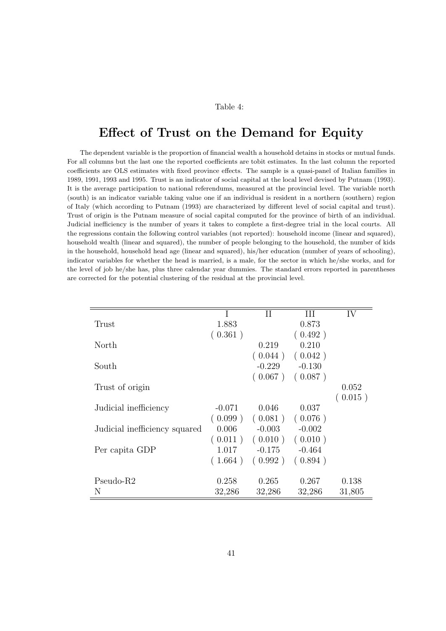### Table 4:

# Effect of Trust on the Demand for Equity

The dependent variable is the proportion of financial wealth a household detains in stocks or mutual funds. For all columns but the last one the reported coefficients are tobit estimates. In the last column the reported coefficients are OLS estimates with fixed province effects. The sample is a quasi-panel of Italian families in 1989, 1991, 1993 and 1995. Trust is an indicator of social capital at the local level devised by Putnam (1993). It is the average participation to national referendums, measured at the provincial level. The variable north (south) is an indicator variable taking value one if an individual is resident in a northern (southern) region of Italy (which according to Putnam (1993) are characterized by different level of social capital and trust). Trust of origin is the Putnam measure of social capital computed for the province of birth of an individual. Judicial inefficiency is the number of years it takes to complete a first-degree trial in the local courts. All the regressions contain the following control variables (not reported): household income (linear and squared), household wealth (linear and squared), the number of people belonging to the household, the number of kids in the household, household head age (linear and squared), his/her education (number of years of schooling), indicator variables for whether the head is married, is a male, for the sector in which he/she works, and for the level of job he/she has, plus three calendar year dummies. The standard errors reported in parentheses are corrected for the potential clustering of the residual at the provincial level.

|                               |          | Н                       | Ш               | IV      |
|-------------------------------|----------|-------------------------|-----------------|---------|
| Trust                         | 1.883    |                         | 0.873           |         |
|                               | (0.361)  |                         | (0.492)         |         |
| North                         |          | 0.219                   | 0.210           |         |
|                               |          |                         | (0.044) (0.042) |         |
| South                         |          | $-0.229$                | $-0.130$        |         |
|                               |          | (0.067)                 | (0.087)         |         |
| Trust of origin               |          |                         |                 | 0.052   |
|                               |          |                         |                 | (0.015) |
| Judicial inefficiency         | $-0.071$ | 0.046                   | 0.037           |         |
|                               |          | (0.099) (0.081)         | (0.076)         |         |
| Judicial inefficiency squared | 0.006    | $-0.003$                | $-0.002$        |         |
|                               |          | (0.011) (0.010) (0.010) |                 |         |
| Per capita GDP                | 1.017    | $-0.175$                | $-0.464$        |         |
|                               | (1.664)  | (0.992)                 | (0.894)         |         |
|                               |          |                         |                 |         |
| $Pseudo-R2$                   | 0.258    | 0.265                   | 0.267           | 0.138   |
| Ν                             | 32,286   | 32,286                  | 32,286          | 31,805  |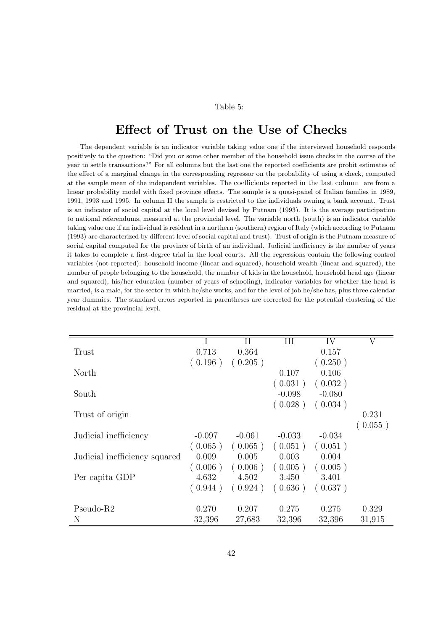### Table 5:

# Effect of Trust on the Use of Checks

The dependent variable is an indicator variable taking value one if the interviewed household responds positively to the question: "Did you or some other member of the household issue checks in the course of the year to settle transactions?" For all columns but the last one the reported coefficients are probit estimates of the effect of a marginal change in the corresponding regressor on the probability of using a check, computed at the sample mean of the independent variables. The coefficients reported in the last column are from a linear probability model with fixed province effects. The sample is a quasi-panel of Italian families in 1989, 1991, 1993 and 1995. In column II the sample is restricted to the individuals owning a bank account. Trust is an indicator of social capital at the local level devised by Putnam (1993). It is the average participation to national referendums, measured at the provincial level. The variable north (south) is an indicator variable taking value one if an individual is resident in a northern (southern) region of Italy (which according to Putnam (1993) are characterized by different level of social capital and trust). Trust of origin is the Putnam measure of social capital computed for the province of birth of an individual. Judicial inefficiency is the number of years it takes to complete a first-degree trial in the local courts. All the regressions contain the following control variables (not reported): household income (linear and squared), household wealth (linear and squared), the number of people belonging to the household, the number of kids in the household, household head age (linear and squared), his/her education (number of years of schooling), indicator variables for whether the head is married, is a male, for the sector in which he/she works, and for the level of job he/she has, plus three calendar year dummies. The standard errors reported in parentheses are corrected for the potential clustering of the residual at the provincial level.

|                               |          |          | Ш        | IV       |         |
|-------------------------------|----------|----------|----------|----------|---------|
| Trust                         | 0.713    | 0.364    |          | 0.157    |         |
|                               | (0.196)  | (0.205)  |          | (0.250)  |         |
| North                         |          |          | 0.107    | 0.106    |         |
|                               |          |          | (0.031)  | (0.032)  |         |
| South                         |          |          | $-0.098$ | $-0.080$ |         |
|                               |          |          | (0.028)  | (0.034)  |         |
| Trust of origin               |          |          |          |          | 0.231   |
|                               |          |          |          |          | (0.055) |
| Judicial inefficiency         | $-0.097$ | $-0.061$ | $-0.033$ | $-0.034$ |         |
|                               | (0.065)  | (0.065)  | (0.051)  | (0.051)  |         |
| Judicial inefficiency squared | 0.009    | 0.005    | 0.003    | 0.004    |         |
|                               | (0.006)  | (0.006)  | (0.005)  | (0.005)  |         |
| Per capita GDP                | 4.632    | 4.502    | 3.450    | 3.401    |         |
|                               | (0.944)  | (0.924)  | (0.636)  | (0.637)  |         |
|                               |          |          |          |          |         |
| $Pseudo-R2$                   | 0.270    | 0.207    | 0.275    | 0.275    | 0.329   |
| N                             | 32,396   | 27,683   | 32,396   | 32,396   | 31,915  |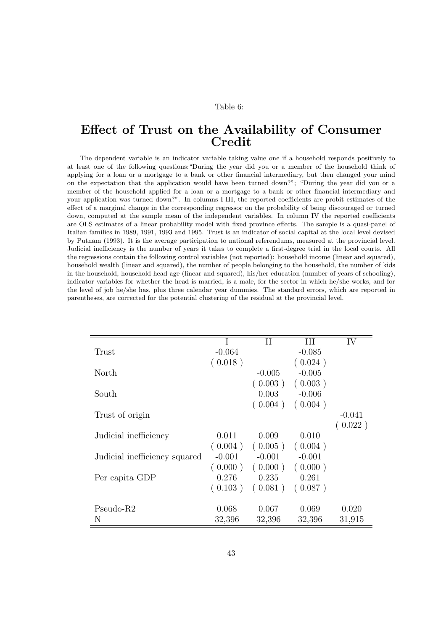### Table 6:

# Effect of Trust on the Availability of Consumer Credit

The dependent variable is an indicator variable taking value one if a household responds positively to at least one of the following questions:"During the year did you or a member of the household think of applying for a loan or a mortgage to a bank or other financial intermediary, but then changed your mind on the expectation that the application would have been turned down?"; "During the year did you or a member of the household applied for a loan or a mortgage to a bank or other financial intermediary and your application was turned down?". In columns I-III, the reported coefficients are probit estimates of the effect of a marginal change in the corresponding regressor on the probability of being discouraged or turned down, computed at the sample mean of the independent variables. In column IV the reported coefficients are OLS estimates of a linear probability model with fixed province effects. The sample is a quasi-panel of Italian families in 1989, 1991, 1993 and 1995. Trust is an indicator of social capital at the local level devised by Putnam (1993). It is the average participation to national referendums, measured at the provincial level. Judicial inefficiency is the number of years it takes to complete a first-degree trial in the local courts. All the regressions contain the following control variables (not reported): household income (linear and squared), household wealth (linear and squared), the number of people belonging to the household, the number of kids in the household, household head age (linear and squared), his/her education (number of years of schooling), indicator variables for whether the head is married, is a male, for the sector in which he/she works, and for the level of job he/she has, plus three calendar year dummies. The standard errors, which are reported in parentheses, are corrected for the potential clustering of the residual at the provincial level.

|                               |          | H        | Ш        | IV       |
|-------------------------------|----------|----------|----------|----------|
| Trust                         | $-0.064$ |          | $-0.085$ |          |
|                               | (0.018)  |          | (0.024)  |          |
| North                         |          | $-0.005$ | $-0.005$ |          |
|                               |          | (0.003)  | (0.003)  |          |
| South                         |          | 0.003    | $-0.006$ |          |
|                               |          | (0.004)  | (0.004)  |          |
| Trust of origin               |          |          |          | $-0.041$ |
|                               |          |          |          | (0.022)  |
| Judicial inefficiency         | 0.011    | 0.009    | 0.010    |          |
|                               | (0.004)  | (0.005)  | (0.004)  |          |
| Judicial inefficiency squared | $-0.001$ | $-0.001$ | $-0.001$ |          |
|                               | (0.000)  | (0.000)  | (0.000)  |          |
| Per capita GDP                | 0.276    | 0.235    | 0.261    |          |
|                               | (0.103)  | (0.081)  | (0.087)  |          |
|                               |          |          |          |          |
| Pseudo-R2                     | 0.068    | 0.067    | 0.069    | 0.020    |
| N                             | 32,396   | 32,396   | 32,396   | 31,915   |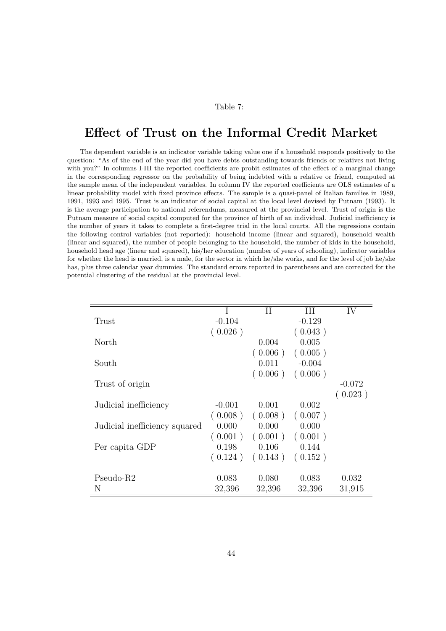### Table 7:

# Effect of Trust on the Informal Credit Market

The dependent variable is an indicator variable taking value one if a household responds positively to the question: "As of the end of the year did you have debts outstanding towards friends or relatives not living with you?" In columns I-III the reported coefficients are probit estimates of the effect of a marginal change in the corresponding regressor on the probability of being indebted with a relative or friend, computed at the sample mean of the independent variables. In column IV the reported coefficients are OLS estimates of a linear probability model with fixed province effects. The sample is a quasi-panel of Italian families in 1989, 1991, 1993 and 1995. Trust is an indicator of social capital at the local level devised by Putnam (1993). It is the average participation to national referendums, measured at the provincial level. Trust of origin is the Putnam measure of social capital computed for the province of birth of an individual. Judicial inefficiency is the number of years it takes to complete a first-degree trial in the local courts. All the regressions contain the following control variables (not reported): household income (linear and squared), household wealth (linear and squared), the number of people belonging to the household, the number of kids in the household, household head age (linear and squared), his/her education (number of years of schooling), indicator variables for whether the head is married, is a male, for the sector in which he/she works, and for the level of job he/she has, plus three calendar year dummies. The standard errors reported in parentheses and are corrected for the potential clustering of the residual at the provincial level.

|                               | Ī        | Н       | Ш        | IV      |
|-------------------------------|----------|---------|----------|---------|
| Trust                         | $-0.104$ |         | $-0.129$ |         |
|                               | (0.026)  |         | (0.043)  |         |
| North                         |          | 0.004   | 0.005    |         |
|                               |          | (0.006) | (0.005)  |         |
| South                         |          | 0.011   | $-0.004$ |         |
|                               |          | (0.006) | (0.006)  |         |
| Trust of origin               |          |         |          | -0.072  |
|                               |          |         |          | (0.023) |
| Judicial inefficiency         | $-0.001$ | 0.001   | 0.002    |         |
|                               | (0.008)  | (0.008) | (0.007)  |         |
| Judicial inefficiency squared | 0.000    | 0.000   | 0.000    |         |
|                               | (0.001)  | (0.001) | (0.001)  |         |
| Per capita GDP                | 0.198    | 0.106   | 0.144    |         |
|                               | (0.124)  | (0.143) | (0.152)  |         |
|                               |          |         |          |         |
| Pseudo-R2                     | 0.083    | 0.080   | 0.083    | 0.032   |
| Ν                             | 32,396   | 32,396  | 32,396   | 31,915  |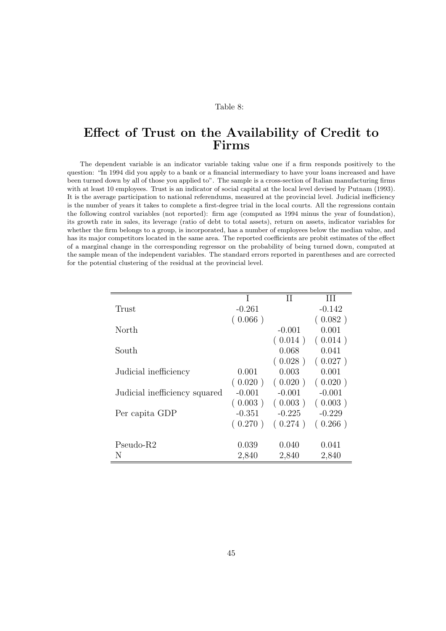### Table 8:

# Effect of Trust on the Availability of Credit to Firms

The dependent variable is an indicator variable taking value one if a firm responds positively to the question: "In 1994 did you apply to a bank or a financial intermediary to have your loans increased and have been turned down by all of those you applied to". The sample is a cross-section of Italian manufacturing firms with at least 10 employees. Trust is an indicator of social capital at the local level devised by Putnam (1993). It is the average participation to national referendums, measured at the provincial level. Judicial inefficiency is the number of years it takes to complete a first-degree trial in the local courts. All the regressions contain the following control variables (not reported): firm age (computed as 1994 minus the year of foundation), its growth rate in sales, its leverage (ratio of debt to total assets), return on assets, indicator variables for whether the firm belongs to a group, is incorporated, has a number of employees below the median value, and has its major competitors located in the same area. The reported coefficients are probit estimates of the effect of a marginal change in the corresponding regressor on the probability of being turned down, computed at the sample mean of the independent variables. The standard errors reported in parentheses and are corrected for the potential clustering of the residual at the provincial level.

|                               | I        | Ħ        | Ш        |
|-------------------------------|----------|----------|----------|
| Trust                         | $-0.261$ |          | $-0.142$ |
|                               | (0.066)  |          | (0.082)  |
| North                         |          | $-0.001$ | 0.001    |
|                               |          | (0.014)  | (0.014)  |
| South                         |          | 0.068    | 0.041    |
|                               |          | (0.028)  | (0.027)  |
| Judicial inefficiency         | 0.001    | 0.003    | 0.001    |
|                               | (0.020)  | (0.020)  | (0.020)  |
| Judicial inefficiency squared | $-0.001$ | $-0.001$ | $-0.001$ |
|                               | (0.003)  | (0.003)  | (0.003)  |
| Per capita GDP                | $-0.351$ | $-0.225$ | $-0.229$ |
|                               | (0.270)  | (0.274)  | (0.266)  |
|                               |          |          |          |
| $Pseudo-R2$                   | 0.039    | 0.040    | 0.041    |
| Ν                             | 2,840    | 2,840    | 2,840    |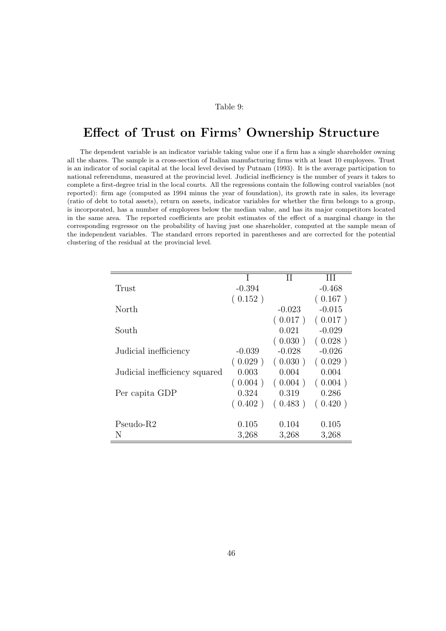### Table 9:

# Effect of Trust on Firms' Ownership Structure

The dependent variable is an indicator variable taking value one if a firm has a single shareholder owning all the shares. The sample is a cross-section of Italian manufacturing firms with at least 10 employees. Trust is an indicator of social capital at the local level devised by Putnam (1993). It is the average participation to national referendums, measured at the provincial level. Judicial inefficiency is the number of years it takes to complete a first-degree trial in the local courts. All the regressions contain the following control variables (not reported): firm age (computed as 1994 minus the year of foundation), its growth rate in sales, its leverage (ratio of debt to total assets), return on assets, indicator variables for whether the firm belongs to a group, is incorporated, has a number of employees below the median value, and has its major competitors located in the same area. The reported coefficients are probit estimates of the effect of a marginal change in the corresponding regressor on the probability of having just one shareholder, computed at the sample mean of the independent variables. The standard errors reported in parentheses and are corrected for the potential clustering of the residual at the provincial level.

|                               |          | Н        | Ш        |
|-------------------------------|----------|----------|----------|
| Trust                         | $-0.394$ |          | $-0.468$ |
|                               | (0.152)  |          | (0.167)  |
| North                         |          | $-0.023$ | $-0.015$ |
|                               |          | (0.017)  | (0.017)  |
| South                         |          | 0.021    | $-0.029$ |
|                               |          | (0.030)  | (0.028)  |
| Judicial inefficiency         | $-0.039$ | $-0.028$ | $-0.026$ |
|                               | (0.029)  | (0.030)  | (0.029)  |
| Judicial inefficiency squared | 0.003    | 0.004    | 0.004    |
|                               | (0.004)  | (0.004)  | (0.004)  |
| Per capita GDP                | 0.324    | 0.319    | 0.286    |
|                               | (0.402)  | (0.483)  | (0.420)  |
|                               |          |          |          |
| $Pseudo-R2$                   | 0.105    | 0.104    | 0.105    |
| N                             | 3,268    | 3,268    | 3,268    |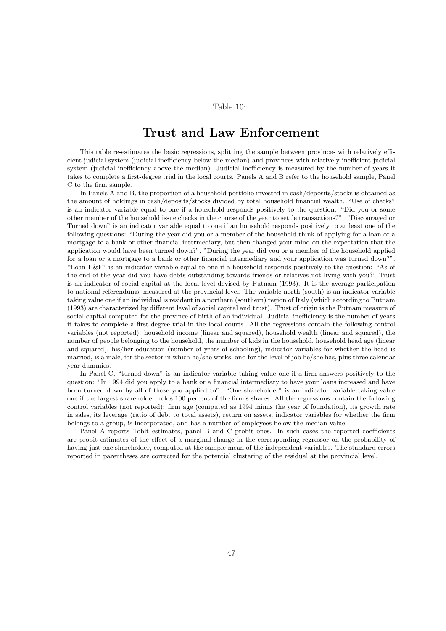### Table 10:

# Trust and Law Enforcement

This table re-estimates the basic regressions, splitting the sample between provinces with relatively efficient judicial system (judicial inefficiency below the median) and provinces with relatively inefficient judicial system (judicial inefficiency above the median). Judicial inefficiency is measured by the number of years it takes to complete a first-degree trial in the local courts. Panels A and B refer to the household sample, Panel C to the firm sample.

In Panels A and B, the proportion of a household portfolio invested in cash/deposits/stocks is obtained as the amount of holdings in cash/deposits/stocks divided by total household financial wealth. "Use of checks" is an indicator variable equal to one if a household responds positively to the question: "Did you or some other member of the household issue checks in the course of the year to settle transactions?". "Discouraged or Turned down" is an indicator variable equal to one if an household responds positively to at least one of the following questions: "During the year did you or a member of the household think of applying for a loan or a mortgage to a bank or other financial intermediary, but then changed your mind on the expectation that the application would have been turned down?", "During the year did you or a member of the household applied for a loan or a mortgage to a bank or other financial intermediary and your application was turned down?". "Loan F&F" is an indicator variable equal to one if a household responds positively to the question: "As of the end of the year did you have debts outstanding towards friends or relatives not living with you?" Trust is an indicator of social capital at the local level devised by Putnam (1993). It is the average participation to national referendums, measured at the provincial level. The variable north (south) is an indicator variable taking value one if an individual is resident in a northern (southern) region of Italy (which according to Putnam (1993) are characterized by different level of social capital and trust). Trust of origin is the Putnam measure of social capital computed for the province of birth of an individual. Judicial inefficiency is the number of years it takes to complete a first-degree trial in the local courts. All the regressions contain the following control variables (not reported): household income (linear and squared), household wealth (linear and squared), the number of people belonging to the household, the number of kids in the household, household head age (linear and squared), his/her education (number of years of schooling), indicator variables for whether the head is married, is a male, for the sector in which he/she works, and for the level of job he/she has, plus three calendar year dummies.

In Panel C, "turned down" is an indicator variable taking value one if a firm answers positively to the question: "In 1994 did you apply to a bank or a financial intermediary to have your loans increased and have been turned down by all of those you applied to". "One shareholder" is an indicator variable taking value one if the largest shareholder holds 100 percent of the firm's shares. All the regressions contain the following control variables (not reported): firm age (computed as 1994 minus the year of foundation), its growth rate in sales, its leverage (ratio of debt to total assets), return on assets, indicator variables for whether the firm belongs to a group, is incorporated, and has a number of employees below the median value.

Panel A reports Tobit estimates, panel B and C probit ones. In such cases the reported coefficients are probit estimates of the effect of a marginal change in the corresponding regressor on the probability of having just one shareholder, computed at the sample mean of the independent variables. The standard errors reported in parentheses are corrected for the potential clustering of the residual at the provincial level.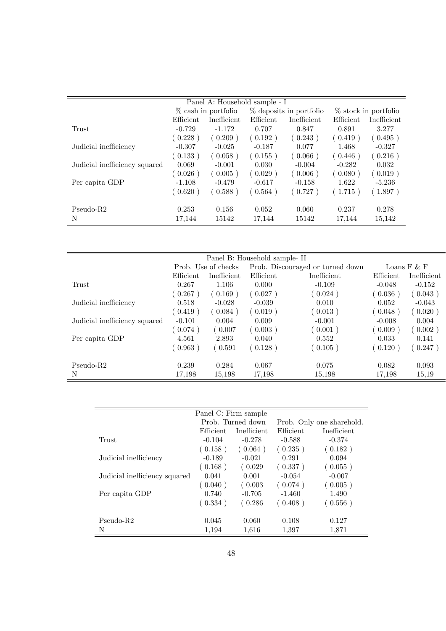|                               |           | Panel A: Household sample - I |           |                           |           |                               |
|-------------------------------|-----------|-------------------------------|-----------|---------------------------|-----------|-------------------------------|
|                               |           | $%$ cash in portfolio         |           | $%$ deposits in portfolio |           | $% \space$ stock in portfolio |
|                               | Efficient | Inefficient                   | Efficient | Inefficient               | Efficient | Inefficient                   |
| Trust                         | $-0.729$  | $-1.172$                      | 0.707     | 0.847                     | 0.891     | 3.277                         |
|                               | (0.228)   | (0.209)                       | (0.192)   | (0.243)                   | $0.419$ ) | (0.495)                       |
| Judicial inefficiency         | $-0.307$  | $-0.025$                      | $-0.187$  | 0.077                     | 1.468     | $-0.327$                      |
|                               | (0.133)   | (0.058)                       | 0.155)    | (0.066)                   | (0.446)   | (0.216)                       |
| Judicial inefficiency squared | 0.069     | $-0.001$                      | 0.030     | $-0.004$                  | $-0.282$  | 0.032                         |
|                               | (0.026)   | (0.005)                       | $0.029$ ) | (0.006)                   | (0.080)   | (0.019)                       |
| Per capita GDP                | $-1.108$  | $-0.479$                      | $-0.617$  | $-0.158$                  | 1.622     | $-5.236$                      |
|                               | (0.620)   | (0.588)                       | 0.564)    | (0.727)                   | 1.715)    | 1.897)                        |
| $Pseudo-R2$                   | 0.253     | 0.156                         | 0.052     | 0.060                     | 0.237     | 0.278                         |
| Ν                             | 17,144    | 15142                         | 17,144    | 15142                     | 17,144    | 15,142                        |

|                               |                     |             | Panel B: Household sample- II |                                  |                |             |  |
|-------------------------------|---------------------|-------------|-------------------------------|----------------------------------|----------------|-------------|--|
|                               | Prob. Use of checks |             |                               | Prob. Discouraged or turned down | Loans $F \& F$ |             |  |
|                               | Efficient           | Inefficient | Efficient                     | Inefficient                      | Efficient      | Inefficient |  |
| Trust                         | 0.267               | 1.106       | 0.000                         | $-0.109$                         | $-0.048$       | $-0.152$    |  |
|                               | 0.267               | (0.169)     | 0.027)                        | 0.024)                           | $0.036$ )      | (0.043)     |  |
| Judicial inefficiency         | 0.518               | $-0.028$    | $-0.039$                      | 0.010                            | 0.052          | $-0.043$    |  |
|                               | (0.419)             | (0.084)     | 0.019)                        | 0.013)                           | $0.048$ )      | (0.020)     |  |
| Judicial inefficiency squared | $-0.101$            | 0.004       | 0.009                         | $-0.001$                         | $-0.008$       | 0.004       |  |
|                               | (0.074)             | (0.007      | 0.003)                        | 0.001)                           | $0.009$ )      | (0.002)     |  |
| Per capita GDP                | 4.561               | 2.893       | 0.040                         | 0.552                            | 0.033          | 0.141       |  |
|                               | (0.963)             | (0.591)     | (0.128)                       | (0.105)                          | 0.120          | (0.247)     |  |
| Pseudo-R2                     | 0.239               | 0.284       | 0.067                         | 0.075                            | 0.082          | 0.093       |  |
| N                             | 17,198              | 15,198      | 17,198                        | 15,198                           | 17,198         | 15,19       |  |

| Panel C: Firm sample          |            |                   |                           |             |  |  |  |  |
|-------------------------------|------------|-------------------|---------------------------|-------------|--|--|--|--|
|                               |            | Prob. Turned down | Prob. Only one sharehold. |             |  |  |  |  |
|                               | Efficient. | Inefficient       | Efficient.                | Inefficient |  |  |  |  |
| Trust                         | $-0.104$   | $-0.278$          | $-0.588$                  | $-0.374$    |  |  |  |  |
|                               | (0.158)    | (0.064)           | (0.235)                   | (0.182)     |  |  |  |  |
| Judicial inefficiency         | $-0.189$   | $-0.021$          | 0.291                     | 0.094       |  |  |  |  |
|                               | (0.168)    | (0.029)           | (0.337)                   | (0.055)     |  |  |  |  |
| Judicial inefficiency squared | 0.041      | 0.001             | $-0.054$                  | $-0.007$    |  |  |  |  |
|                               | (0.040)    | (0.003)           | (0.074)                   | (0.005)     |  |  |  |  |
| Per capita GDP                | 0.740      | $-0.705$          | $-1.460$                  | 1.490       |  |  |  |  |
|                               | (0.334)    | (0.286)           | (0.408)                   | (0.556)     |  |  |  |  |
| Pseudo-R2                     | 0.045      | 0.060             | 0.108                     | 0.127       |  |  |  |  |
| N                             | 1,194      | 1,616             | 1,397                     | 1,871       |  |  |  |  |
|                               |            |                   |                           |             |  |  |  |  |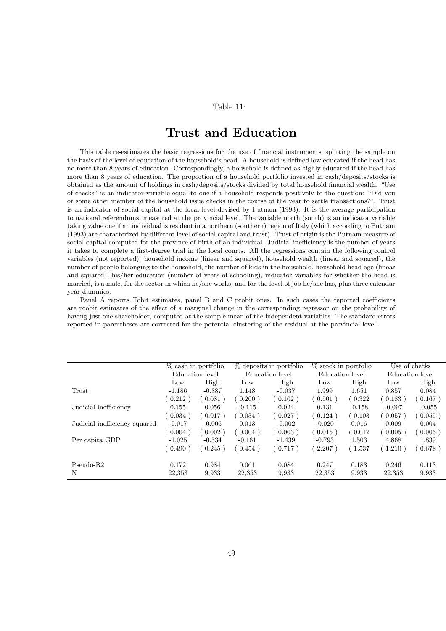### Table 11:

# Trust and Education

This table re-estimates the basic regressions for the use of financial instruments, splitting the sample on the basis of the level of education of the household's head. A household is defined low educated if the head has no more than 8 years of education. Correspondingly, a household is defined as highly educated if the head has more than 8 years of education. The proportion of a household portfolio invested in cash/deposits/stocks is obtained as the amount of holdings in cash/deposits/stocks divided by total household financial wealth. "Use of checks" is an indicator variable equal to one if a household responds positively to the question: "Did you or some other member of the household issue checks in the course of the year to settle transactions?". Trust is an indicator of social capital at the local level devised by Putnam (1993). It is the average participation to national referendums, measured at the provincial level. The variable north (south) is an indicator variable taking value one if an individual is resident in a northern (southern) region of Italy (which according to Putnam (1993) are characterized by different level of social capital and trust). Trust of origin is the Putnam measure of social capital computed for the province of birth of an individual. Judicial inefficiency is the number of years it takes to complete a first-degree trial in the local courts. All the regressions contain the following control variables (not reported): household income (linear and squared), household wealth (linear and squared), the number of people belonging to the household, the number of kids in the household, household head age (linear and squared), his/her education (number of years of schooling), indicator variables for whether the head is married, is a male, for the sector in which he/she works, and for the level of job he/she has, plus three calendar year dummies.

Panel A reports Tobit estimates, panel B and C probit ones. In such cases the reported coefficients are probit estimates of the effect of a marginal change in the corresponding regressor on the probability of having just one shareholder, computed at the sample mean of the independent variables. The standard errors reported in parentheses are corrected for the potential clustering of the residual at the provincial level.

|                               | $\sqrt{\frac{2}{\pi}}$ cash in portfolio |           | $%$ deposits in portfolio |          | $\sqrt{\frac{2}{\pi}} \times \frac{1}{\pi}$ portfolio |                      | Use of checks   |           |
|-------------------------------|------------------------------------------|-----------|---------------------------|----------|-------------------------------------------------------|----------------------|-----------------|-----------|
|                               | Education level                          |           | Education level           |          | Education level                                       |                      | Education level |           |
|                               | Low                                      | High      | Low                       | High     | Low                                                   | High                 | Low             | High      |
| Trust                         | $-1.186$                                 | $-0.387$  | 1.148                     | $-0.037$ | 1.999                                                 | 1.651                | 0.857           | 0.084     |
|                               | $0.212$ )                                | $0.081$ ) | 0.200)                    | (0.102)  | (0.501)                                               | ( 0.322              | (0.183)         | (0.167)   |
| Judicial inefficiency         | 0.155                                    | 0.056     | $-0.115$                  | 0.024    | 0.131                                                 | $-0.158$             | $-0.097$        | $-0.055$  |
|                               | $\left(0.034\right)$                     | (0.017)   | $0.034$ )                 | 0.027    | (0.124)                                               | (0.103)              | (0.057)         | $0.055$ ) |
| Judicial inefficiency squared | $-0.017$                                 | $-0.006$  | 0.013                     | $-0.002$ | $-0.020$                                              | 0.016                | 0.009           | 0.004     |
|                               | (0.004)                                  | (0.002)   | $0.004$ )                 | (0.003)  | $0.015$ )                                             | (0.012)              | $0.005$ )       | (0.006)   |
| Per capita GDP                | $-1.025$                                 | $-0.534$  | $-0.161$                  | $-1.439$ | $-0.793$                                              | 1.503                | 4.868           | 1.839     |
|                               | (0.490)                                  | (0.245)   | 0.454)                    | (0.717)  | $2.207$ )                                             | $\left(1.537\right)$ | (1.210)         | 0.678)    |
| $Pseudo-R2$                   | 0.172                                    | 0.984     | 0.061                     | 0.084    | 0.247                                                 | 0.183                | 0.246           | 0.113     |
| N                             | 22,353                                   | 9.933     | 22,353                    | 9.933    | 22,353                                                | 9.933                | 22,353          | 9,933     |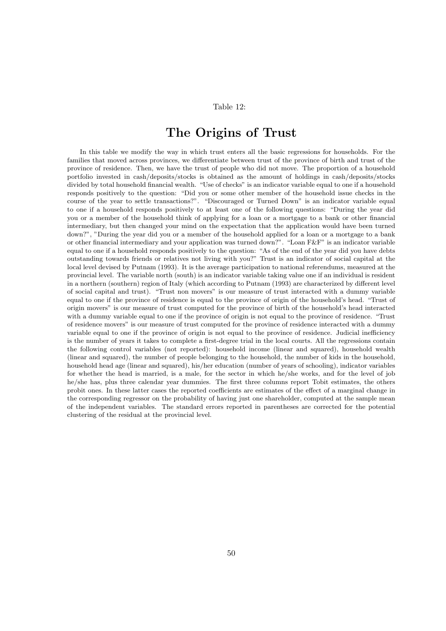### Table 12:

# The Origins of Trust

In this table we modify the way in which trust enters all the basic regressions for households. For the families that moved across provinces, we differentiate between trust of the province of birth and trust of the province of residence. Then, we have the trust of people who did not move. The proportion of a household portfolio invested in cash/deposits/stocks is obtained as the amount of holdings in cash/deposits/stocks divided by total household financial wealth. "Use of checks" is an indicator variable equal to one if a household responds positively to the question: "Did you or some other member of the household issue checks in the course of the year to settle transactions?". "Discouraged or Turned Down" is an indicator variable equal to one if a household responds positively to at least one of the following questions: "During the year did you or a member of the household think of applying for a loan or a mortgage to a bank or other financial intermediary, but then changed your mind on the expectation that the application would have been turned down?", "During the year did you or a member of the household applied for a loan or a mortgage to a bank or other financial intermediary and your application was turned down?". "Loan F&F" is an indicator variable equal to one if a household responds positively to the question: "As of the end of the year did you have debts outstanding towards friends or relatives not living with you?" Trust is an indicator of social capital at the local level devised by Putnam (1993). It is the average participation to national referendums, measured at the provincial level. The variable north (south) is an indicator variable taking value one if an individual is resident in a northern (southern) region of Italy (which according to Putnam (1993) are characterized by different level of social capital and trust). "Trust non movers" is our measure of trust interacted with a dummy variable equal to one if the province of residence is equal to the province of origin of the household's head. "Trust of origin movers" is our measure of trust computed for the province of birth of the household's head interacted with a dummy variable equal to one if the province of origin is not equal to the province of residence. "Trust of residence movers" is our measure of trust computed for the province of residence interacted with a dummy variable equal to one if the province of origin is not equal to the province of residence. Judicial inefficiency is the number of years it takes to complete a first-degree trial in the local courts. All the regressions contain the following control variables (not reported): household income (linear and squared), household wealth (linear and squared), the number of people belonging to the household, the number of kids in the household, household head age (linear and squared), his/her education (number of years of schooling), indicator variables for whether the head is married, is a male, for the sector in which he/she works, and for the level of job he/she has, plus three calendar year dummies. The first three columns report Tobit estimates, the others probit ones. In these latter cases the reported coefficients are estimates of the effect of a marginal change in the corresponding regressor on the probability of having just one shareholder, computed at the sample mean of the independent variables. The standard errors reported in parentheses are corrected for the potential clustering of the residual at the provincial level.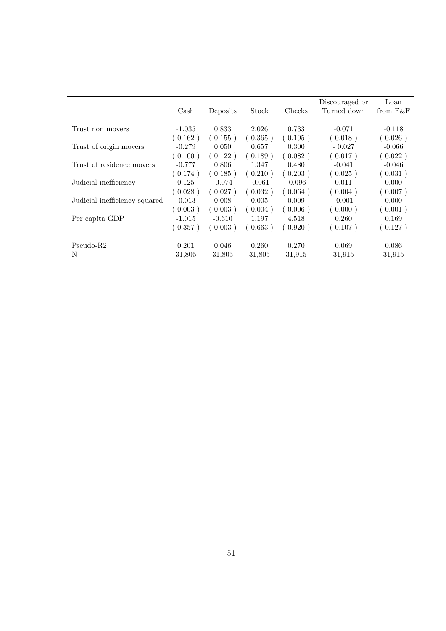|                               |           |           |           |           | Discouraged or | Loan     |
|-------------------------------|-----------|-----------|-----------|-----------|----------------|----------|
|                               | Cash      | Deposits  | Stock     | Checks    | Turned down    | from F&F |
| Trust non movers              | $-1.035$  | 0.833     | 2.026     | 0.733     | $-0.071$       | $-0.118$ |
|                               | (0.162)   | $0.155$ ) | 0.365)    | 0.195)    | (0.018)        | (0.026)  |
| Trust of origin movers        | $-0.279$  | 0.050     | 0.657     | 0.300     | $-0.027$       | $-0.066$ |
|                               | $0.100$ ) | $0.122$ ) | $0.189$ ) | $0.082$ ) | $0.017$ )      | (0.022)  |
| Trust of residence movers     | $-0.777$  | 0.806     | 1.347     | 0.480     | $-0.041$       | $-0.046$ |
|                               | 0.174)    | $0.185$ ) | 0.210)    | 0.203)    | 0.025)         | (0.031)  |
| Judicial inefficiency         | 0.125     | $-0.074$  | $-0.061$  | $-0.096$  | 0.011          | 0.000    |
|                               | (0.028)   | (0.027)   | 0.032)    | 0.064)    | 0.004)         | (0.007)  |
| Judicial inefficiency squared | $-0.013$  | 0.008     | 0.005     | 0.009     | $-0.001$       | 0.000    |
|                               | (0.003)   | $0.003$ ) | $0.004$ ) | $0.006$ ) | 0.000)         | (0.001)  |
| Per capita GDP                | $-1.015$  | $-0.610$  | 1.197     | 4.518     | 0.260          | 0.169    |
|                               | (0.357)   | (0.003)   | $0.663$ ) | (0.920)   | 0.107)         | (0.127)  |
| $Pseudo-R2$                   | 0.201     | 0.046     | 0.260     | 0.270     | 0.069          | 0.086    |
| N                             | 31,805    | 31,805    | 31,805    | 31,915    | 31,915         | 31,915   |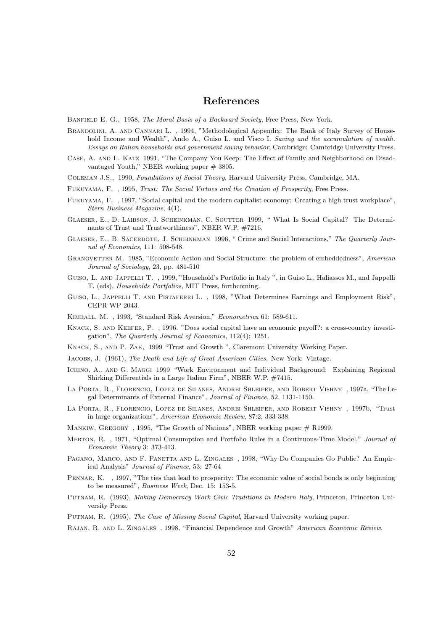## References

Banfield E. G., 1958, The Moral Basis of a Backward Society, Free Press, New York.

- Brandolini, A. and Cannari L. , 1994, "Methodological Appendix: The Bank of Italy Survey of Household Income and Wealth", Ando A., Guiso L. and Visco I. Saving and the accumulation of wealth. Essays on Italian households and government saving behavior, Cambridge: Cambridge University Press.
- Case, A. and L. Katz 1991, "The Company You Keep: The Effect of Family and Neighborhood on Disadvantaged Youth," NBER working paper  $\#$  3805.
- Coleman J.S., 1990, Foundations of Social Theory, Harvard University Press, Cambridge, MA.
- Fukuyama, F. , 1995, Trust: The Social Virtues and the Creation of Prosperity, Free Press.
- Fukuyama, F. , 1997, "Social capital and the modern capitalist economy: Creating a high trust workplace", Stern Business Magazine, 4(1).
- Glaeser, E., D. Laibson, J. Scheinkman, C. Soutter 1999, " What Is Social Capital? The Determinants of Trust and Trustworthiness", NBER W.P. #7216.
- GLAESER, E., B. SACERDOTE, J. SCHEINKMAN 1996, " Crime and Social Interactions," The Quarterly Journal of Economics, 111: 508-548.
- GRANOVETTER M. 1985, "Economic Action and Social Structure: the problem of embeddedness", American Journal of Sociology, 23, pp. 481-510
- Guiso, L. and Jappelli T. , 1999, "Household's Portfolio in Italy ", in Guiso L., Haliassos M., and Jappelli T. (eds), Households Portfolios, MIT Press, forthcoming.
- GUISO, L., JAPPELLI T. AND PISTAFERRI L., 1998, "What Determines Earnings and Employment Risk", CEPR WP 2043.
- Kimball, M. , 1993, "Standard Risk Aversion," Econometrica 61: 589-611.
- Knack, S. and Keefer, P. , 1996. "Does social capital have an economic payoff?: a cross-country investigation", The Quarterly Journal of Economics, 112(4): 1251.
- Knack, S., and P. Zak, 1999 "Trust and Growth ", Claremont University Working Paper.
- JACOBS, J. (1961), The Death and Life of Great American Cities. New York: Vintage.
- Ichino, A., and G. Maggi 1999 "Work Environment and Individual Background: Explaining Regional Shirking Differentials in a Large Italian Firm", NBER W.P. #7415.
- La Porta, R., Florencio, Lopez de Silanes, Andrei Shleifer, and Robert Vishny , 1997a, "The Legal Determinants of External Finance", Journal of Finance, 52, 1131-1150.
- La Porta, R., Florencio, Lopez de Silanes, Andrei Shleifer, and Robert Vishny , 1997b, "Trust in large organizations", American Economic Review, 87:2, 333-338.
- Mankiw, Gregory , 1995, "The Growth of Nations", NBER working paper # R1999.
- Merton, R. , 1971, "Optimal Consumption and Portfolio Rules in a Continuous-Time Model," Journal of Economic Theory 3: 373-413.
- PAGANO, MARCO, AND F. PANETTA AND L. ZINGALES, 1998, "Why Do Companies Go Public? An Empirical Analysis" Journal of Finance, 53: 27-64
- Pennar, K. , 1997, "The ties that lead to prosperity: The economic value of social bonds is only beginning to be measured", Business Week, Dec. 15: 153-5.
- Putnam, R. (1993), Making Democracy Work Civic Traditions in Modern Italy, Princeton, Princeton University Press.
- Putnam, R. (1995), The Case of Missing Social Capital, Harvard University working paper.
- Rajan, R. and L. Zingales , 1998, "Financial Dependence and Growth" American Economic Review.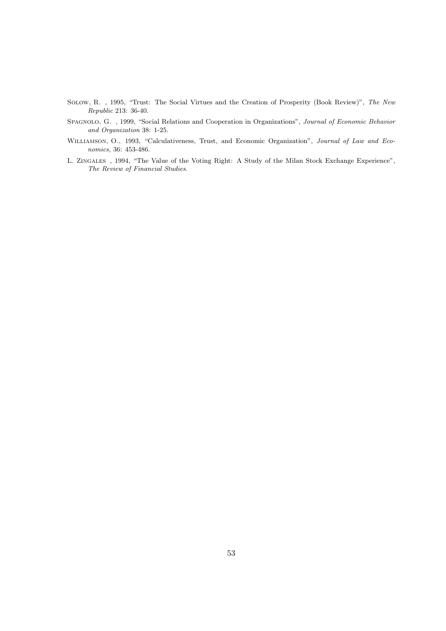- Solow, R. , 1995, "Trust: The Social Virtues and the Creation of Prosperity (Book Review)", The New Republic 213: 36-40.
- Spagnolo, G. , 1999, "Social Relations and Cooperation in Organizations", Journal of Economic Behavior and Organization 38: 1-25.
- Williamson, O., 1993, "Calculativeness, Trust, and Economic Organization", Journal of Law and Economics, 36: 453-486.
- L. Zingales , 1994, "The Value of the Voting Right: A Study of the Milan Stock Exchange Experience", The Review of Financial Studies.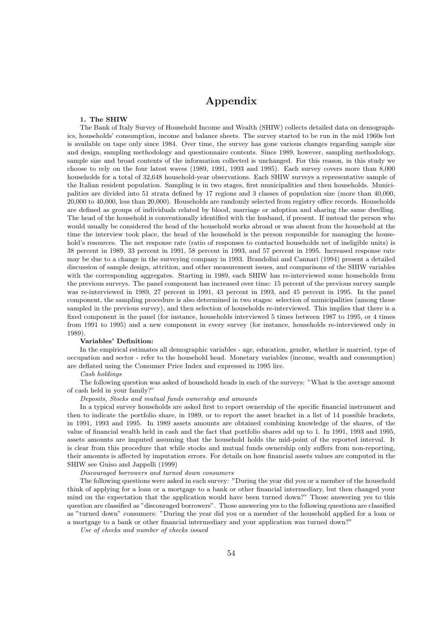# Appendix

### 1. The SHIW

The Bank of Italy Survey of Household Income and Wealth (SHIW) collects detailed data on demographics, households' consumption, income and balance sheets. The survey started to be run in the mid 1960s but is available on tape only since 1984. Over time, the survey has gone various changes regarding sample size and design, sampling methodology and questionnaire contents. Since 1989, however, sampling methodology, sample size and broad contents of the information collected is unchanged. For this reason, in this study we choose to rely on the four latest waves (1989, 1991, 1993 and 1995). Each survey covers more than 8,000 households for a total of 32,648 household-year observations. Each SHIW surveys a representative sample of the Italian resident population. Sampling is in two stages, first municipalities and then households. Municipalities are divided into 51 strata defined by 17 regions and 3 classes of population size (more than 40,000, 20,000 to 40,000, less than 20,000). Households are randomly selected from registry office records. Households are defined as groups of individuals related by blood, marriage or adoption and sharing the same dwelling. The head of the household is conventionally identified with the husband, if present. If instead the person who would usually be considered the head of the household works abroad or was absent from the household at the time the interview took place, the head of the household is the person responsible for managing the household's resources. The net response rate (ratio of responses to contacted households net of ineligible units) is 38 percent in 1989, 33 percent in 1991, 58 percent in 1993, and 57 percent in 1995. Increased response rate may be due to a change in the surveying company in 1993. Brandolini and Cannari (1994) present a detailed discussion of sample design, attrition, and other measurement issues, and comparisons of the SHIW variables with the corresponding aggregates. Starting in 1989, each SHIW has re-interviewed some households from the previous surveys. The panel component has increased over time: 15 percent of the previous survey sample was re-interviewed in 1989, 27 percent in 1991, 43 percent in 1993, and 45 percent in 1995. In the panel component, the sampling procedure is also determined in two stages: selection of municipalities (among those sampled in the previous survey), and then selection of households re-interviewed. This implies that there is a fixed component in the panel (for instance, households interviewed 5 times between 1987 to 1995, or 4 times from 1991 to 1995) and a new component in every survey (for instance, households re-interviewed only in 1989).

### Variables' Definition:

In the empirical estimates all demographic variables - age, education, gender, whether is married, type of occupation and sector - refer to the household head. Monetary variables (income, wealth and consumption) are deflated using the Consumer Price Index and expressed in 1995 lire.

Cash holdings

The following question was asked of household heads in each of the surveys: "What is the average amount of cash held in your family?"

Deposits, Stocks and mutual funds ownership and amounts

In a typical survey households are asked first to report ownership of the specific financial instrument and then to indicate the portfolio share, in 1989, or to report the asset bracket in a list of 14 possible brackets, in 1991, 1993 and 1995. In 1989 assets amounts are obtained combining knowledge of the shares, of the value of financial wealth held in cash and the fact that portfolio shares add up to 1. In 1991, 1993 and 1995, assets amounts are imputed assuming that the household holds the mid-point of the reported interval. It is clear from this procedure that while stocks and mutual funds ownership only suffers from non-reporting, their amounts is affected by imputation errors. For details on how financial assets values are computed in the SHIW see Guiso and Jappelli (1999)

Discouraged borrowers and turned down consumers

The following questions were asked in each survey: "During the year did you or a member of the household think of applying for a loan or a mortgage to a bank or other financial intermediary, but then changed your mind on the expectation that the application would have been turned down?" Those answering yes to this question are classified as "discouraged borrowers". Those answering yes to the following questions are classified as "turned down" consumers: "During the year did you or a member of the household applied for a loan or a mortgage to a bank or other financial intermediary and your application was turned down?"

Use of checks and number of checks issued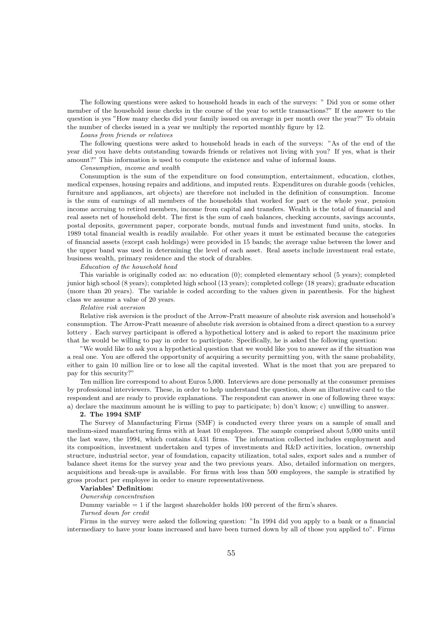The following questions were asked to household heads in each of the surveys: " Did you or some other member of the household issue checks in the course of the year to settle transactions?" If the answer to the question is yes "How many checks did your family issued on average in per month over the year?" To obtain the number of checks issued in a year we multiply the reported monthly figure by 12.

### Loans from friends or relatives

The following questions were asked to household heads in each of the surveys: "As of the end of the year did you have debts outstanding towards friends or relatives not living with you? If yes, what is their amount?" This information is used to compute the existence and value of informal loans.

### Consumption, income and wealth

Consumption is the sum of the expenditure on food consumption, entertainment, education, clothes, medical expenses, housing repairs and additions, and imputed rents. Expenditures on durable goods (vehicles, furniture and appliances, art objects) are therefore not included in the definition of consumption. Income is the sum of earnings of all members of the households that worked for part or the whole year, pension income accruing to retired members, income from capital and transfers. Wealth is the total of financial and real assets net of household debt. The first is the sum of cash balances, checking accounts, savings accounts, postal deposits, government paper, corporate bonds, mutual funds and investment fund units, stocks. In 1989 total financial wealth is readily available. For other years it must be estimated because the categories of financial assets (except cash holdings) were provided in 15 bands; the average value between the lower and the upper band was used in determining the level of each asset. Real assets include investment real estate, business wealth, primary residence and the stock of durables.

### Education of the household head

This variable is originally coded as: no education (0); completed elementary school (5 years); completed junior high school (8 years); completed high school (13 years); completed college (18 years); graduate education (more than 20 years). The variable is coded according to the values given in parenthesis. For the highest class we assume a value of 20 years.

#### Relative risk aversion

Relative risk aversion is the product of the Arrow-Pratt measure of absolute risk aversion and household's consumption. The Arrow-Pratt measure of absolute risk aversion is obtained from a direct question to a survey lottery . Each survey participant is offered a hypothetical lottery and is asked to report the maximum price that he would be willing to pay in order to participate. Specifically, he is asked the following question:

"We would like to ask you a hypothetical question that we would like you to answer as if the situation was a real one. You are offered the opportunity of acquiring a security permitting you, with the same probability, either to gain 10 million lire or to lose all the capital invested. What is the most that you are prepared to pay for this security?"

Ten million lire correspond to about Euros 5,000. Interviews are done personally at the consumer premises by professional interviewers. These, in order to help understand the question, show an illustrative card to the respondent and are ready to provide explanations. The respondent can answer in one of following three ways: a) declare the maximum amount he is willing to pay to participate; b) don't know; c) unwilling to answer.

#### 2. The 1994 SMF

The Survey of Manufacturing Firms (SMF) is conducted every three years on a sample of small and medium-sized manufacturing firms with at least 10 employees. The sample comprised about 5,000 units until the last wave, the 1994, which contains 4,431 firms. The information collected includes employment and its composition, investment undertaken and types of investments and R&D activities, location, ownership structure, industrial sector, year of foundation, capacity utilization, total sales, export sales and a number of balance sheet items for the survey year and the two previous years. Also, detailed information on mergers, acquisitions and break-ups is available. For firms with less than 500 employees, the sample is stratified by gross product per employee in order to ensure representativeness.

### Variables' Definition:

Ownership concentration

Dummy variable  $= 1$  if the largest shareholder holds 100 percent of the firm's shares.

Turned down for credit

Firms in the survey were asked the following question: "In 1994 did you apply to a bank or a financial intermediary to have your loans increased and have been turned down by all of those you applied to". Firms